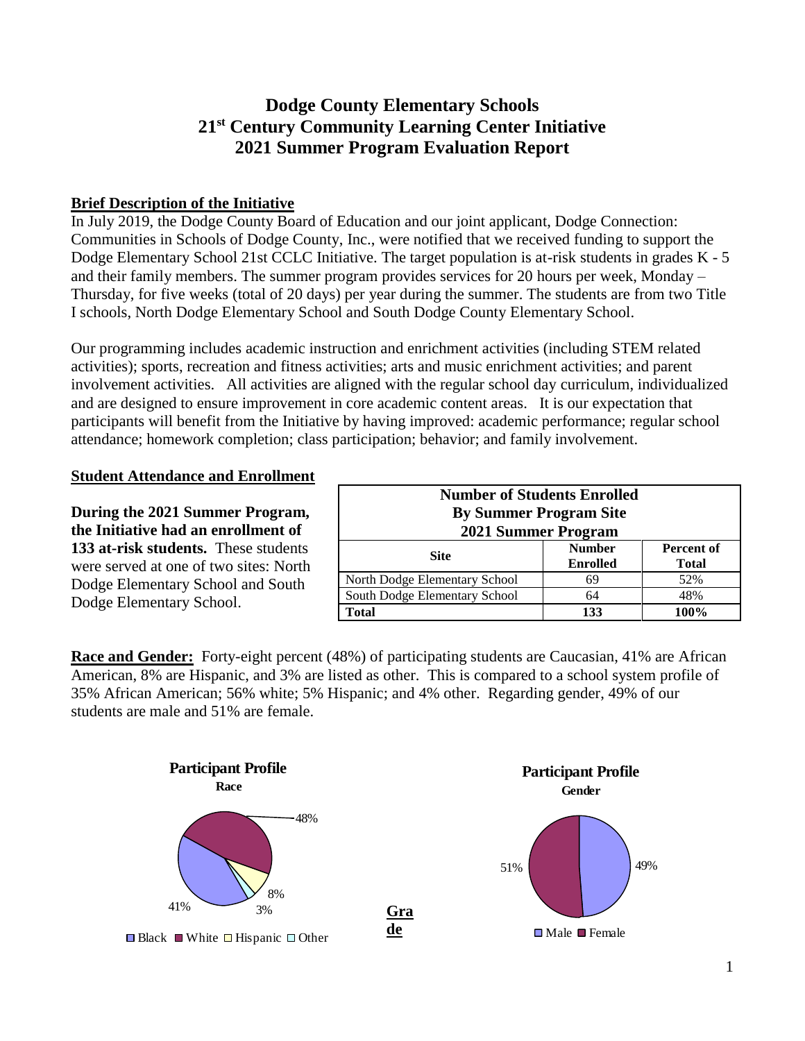# **Dodge County Elementary Schools 21st Century Community Learning Center Initiative 2021 Summer Program Evaluation Report**

#### **Brief Description of the Initiative**

In July 2019, the Dodge County Board of Education and our joint applicant, Dodge Connection: Communities in Schools of Dodge County, Inc., were notified that we received funding to support the Dodge Elementary School 21st CCLC Initiative. The target population is at-risk students in grades K - 5 and their family members. The summer program provides services for 20 hours per week, Monday – Thursday, for five weeks (total of 20 days) per year during the summer. The students are from two Title I schools, North Dodge Elementary School and South Dodge County Elementary School.

Our programming includes academic instruction and enrichment activities (including STEM related activities); sports, recreation and fitness activities; arts and music enrichment activities; and parent involvement activities. All activities are aligned with the regular school day curriculum, individualized and are designed to ensure improvement in core academic content areas. It is our expectation that participants will benefit from the Initiative by having improved: academic performance; regular school attendance; homework completion; class participation; behavior; and family involvement.

#### **Student Attendance and Enrollment**

**During the 2021 Summer Program, the Initiative had an enrollment of 133 at-risk students.** These students were served at one of two sites: North Dodge Elementary School and South Dodge Elementary School.

| <b>Number of Students Enrolled</b><br><b>By Summer Program Site</b><br>2021 Summer Program |                                  |                                   |  |  |
|--------------------------------------------------------------------------------------------|----------------------------------|-----------------------------------|--|--|
| <b>Site</b>                                                                                | <b>Number</b><br><b>Enrolled</b> | <b>Percent of</b><br><b>Total</b> |  |  |
| North Dodge Elementary School                                                              | 69                               | 52%                               |  |  |
| South Dodge Elementary School                                                              | 64                               | 48%                               |  |  |
| 100%<br>133<br><b>Total</b>                                                                |                                  |                                   |  |  |

**Race and Gender:** Forty-eight percent (48%) of participating students are Caucasian, 41% are African American, 8% are Hispanic, and 3% are listed as other. This is compared to a school system profile of 35% African American; 56% white; 5% Hispanic; and 4% other. Regarding gender, 49% of our students are male and 51% are female.

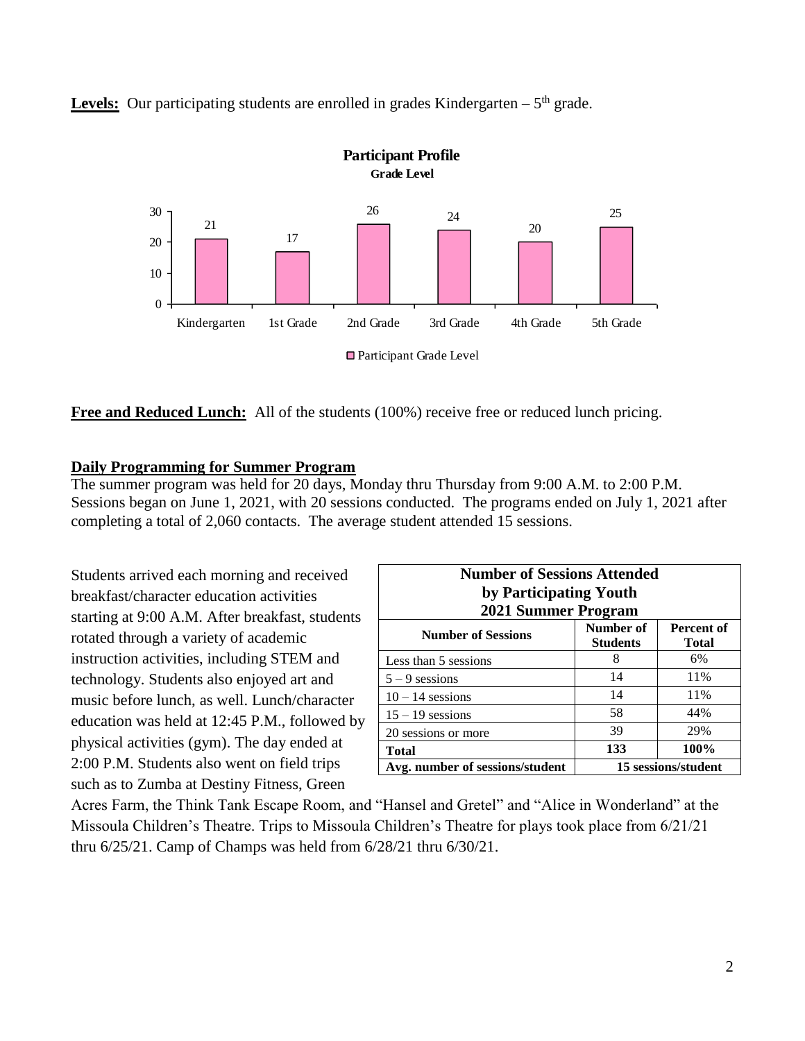**Levels:** Our participating students are enrolled in grades Kindergarten  $-5$ <sup>th</sup> grade.



Free and Reduced Lunch: All of the students (100%) receive free or reduced lunch pricing.

#### **Daily Programming for Summer Program**

The summer program was held for 20 days, Monday thru Thursday from 9:00 A.M. to 2:00 P.M. Sessions began on June 1, 2021, with 20 sessions conducted. The programs ended on July 1, 2021 after completing a total of 2,060 contacts. The average student attended 15 sessions.

Students arrived each morning and received breakfast/character education activities starting at 9:00 A.M. After breakfast, students rotated through a variety of academic instruction activities, including STEM and technology. Students also enjoyed art and music before lunch, as well. Lunch/character education was held at 12:45 P.M., followed by physical activities (gym). The day ended at 2:00 P.M. Students also went on field trips such as to Zumba at Destiny Fitness, Green

| <b>Number of Sessions Attended</b><br>by Participating Youth<br>2021 Summer Program |                              |                            |  |  |
|-------------------------------------------------------------------------------------|------------------------------|----------------------------|--|--|
| <b>Number of Sessions</b>                                                           | Number of<br><b>Students</b> | Percent of<br><b>Total</b> |  |  |
| Less than 5 sessions                                                                | 8                            | 6%                         |  |  |
| $5 - 9$ sessions                                                                    | 14                           | 11%                        |  |  |
| $10 - 14$ sessions                                                                  | 14                           | 11%                        |  |  |
| $15 - 19$ sessions                                                                  | 58                           | 44%                        |  |  |
| 20 sessions or more                                                                 | 39                           | 29%                        |  |  |
| 100%<br>133<br><b>Total</b>                                                         |                              |                            |  |  |
| 15 sessions/student<br>Avg. number of sessions/student                              |                              |                            |  |  |

Acres Farm, the Think Tank Escape Room, and "Hansel and Gretel" and "Alice in Wonderland" at the Missoula Children's Theatre. Trips to Missoula Children's Theatre for plays took place from 6/21/21 thru 6/25/21. Camp of Champs was held from 6/28/21 thru 6/30/21.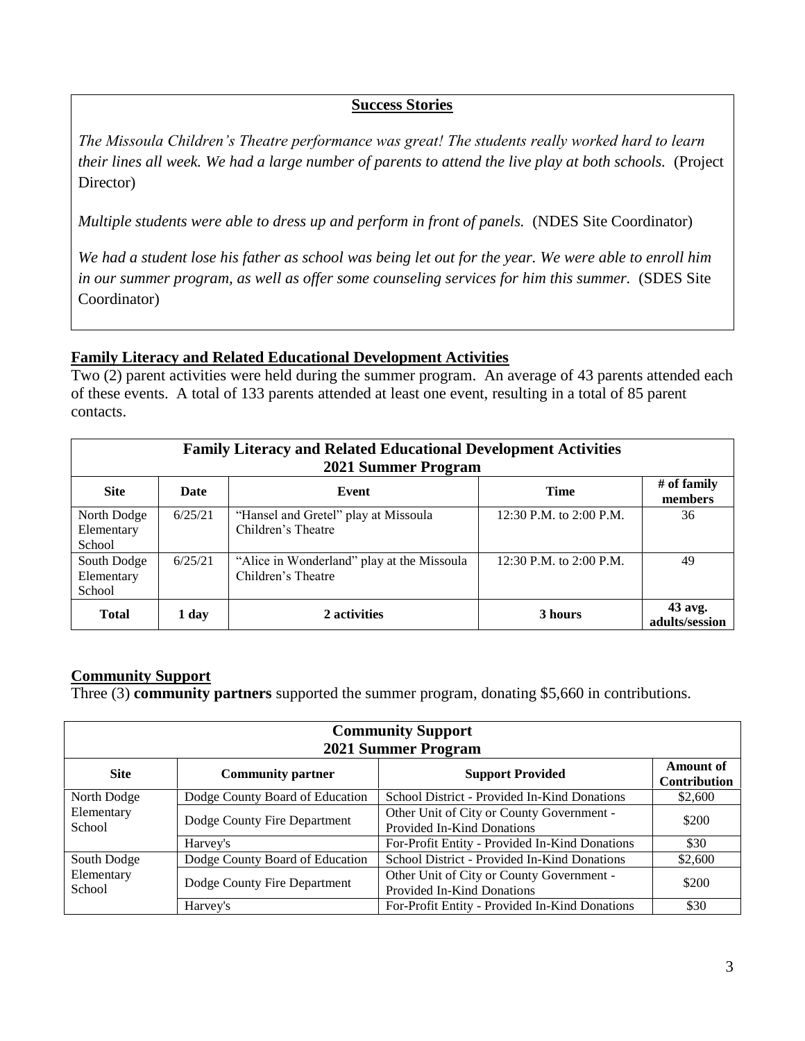#### **Success Stories**

*The Missoula Children's Theatre performance was great! The students really worked hard to learn their lines all week. We had a large number of parents to attend the live play at both schools.* (Project Director)

*Multiple students were able to dress up and perform in front of panels.* (NDES Site Coordinator)

*We had a student lose his father as school was being let out for the year. We were able to enroll him*  in our summer program, as well as offer some counseling services for him this summer. (SDES Site Coordinator)

#### **Family Literacy and Related Educational Development Activities**

Two (2) parent activities were held during the summer program. An average of 43 parents attended each of these events. A total of 133 parents attended at least one event, resulting in a total of 85 parent contacts.

| <b>Family Literacy and Related Educational Development Activities</b><br>2021 Summer Program |         |                                                                  |                         |                             |
|----------------------------------------------------------------------------------------------|---------|------------------------------------------------------------------|-------------------------|-----------------------------|
| <b>Site</b>                                                                                  | Date    | Event                                                            | <b>Time</b>             | # of family<br>members      |
| North Dodge<br>Elementary<br>School                                                          | 6/25/21 | "Hansel and Gretel" play at Missoula<br>Children's Theatre       | 12:30 P.M. to 2:00 P.M. | 36                          |
| South Dodge<br>Elementary<br>School                                                          | 6/25/21 | "Alice in Wonderland" play at the Missoula<br>Children's Theatre | 12:30 P.M. to 2:00 P.M. | 49                          |
| <b>Total</b>                                                                                 | 1 day   | 2 activities                                                     | 3 hours                 | $43$ avg.<br>adults/session |

#### **Community Support**

Three (3) **community partners** supported the summer program, donating \$5,660 in contributions.

| <b>Community Support</b> |                                 |                                                                         |                                  |
|--------------------------|---------------------------------|-------------------------------------------------------------------------|----------------------------------|
| 2021 Summer Program      |                                 |                                                                         |                                  |
| <b>Site</b>              | <b>Community partner</b>        | <b>Support Provided</b>                                                 | Amount of<br><b>Contribution</b> |
| North Dodge              | Dodge County Board of Education | School District - Provided In-Kind Donations                            | \$2,600                          |
| Elementary<br>School     | Dodge County Fire Department    | Other Unit of City or County Government -<br>Provided In-Kind Donations | \$200                            |
|                          | Harvey's                        | For-Profit Entity - Provided In-Kind Donations                          | \$30                             |
| South Dodge              | Dodge County Board of Education | School District - Provided In-Kind Donations                            | \$2,600                          |
| Elementary<br>School     | Dodge County Fire Department    | Other Unit of City or County Government -<br>Provided In-Kind Donations | \$200                            |
|                          | Harvey's                        | For-Profit Entity - Provided In-Kind Donations                          | \$30                             |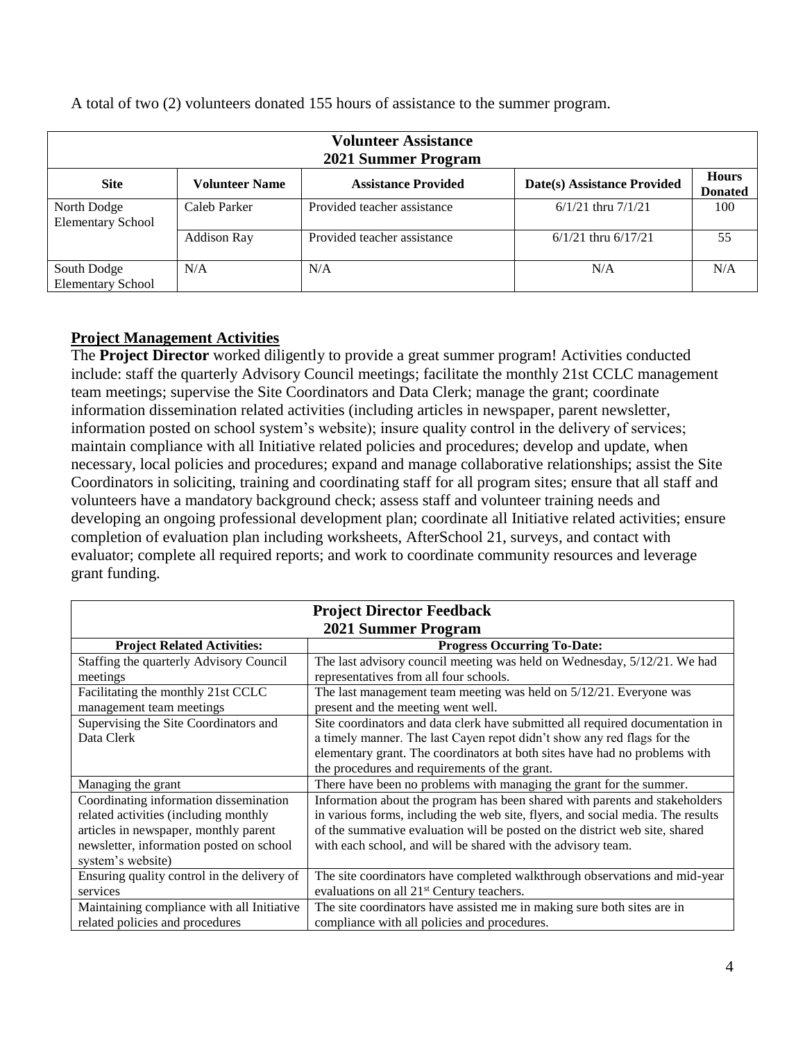| <b>Volunteer Assistance</b><br>2021 Summer Program |                       |                             |                             |                                |
|----------------------------------------------------|-----------------------|-----------------------------|-----------------------------|--------------------------------|
| <b>Site</b>                                        | <b>Volunteer Name</b> | <b>Assistance Provided</b>  | Date(s) Assistance Provided | <b>Hours</b><br><b>Donated</b> |
| North Dodge<br><b>Elementary School</b>            | Caleb Parker          | Provided teacher assistance | $6/1/21$ thru $7/1/21$      | 100                            |
|                                                    | <b>Addison Ray</b>    | Provided teacher assistance | $6/1/21$ thru $6/17/21$     | 55                             |
| South Dodge<br><b>Elementary School</b>            | N/A                   | N/A                         | N/A                         | N/A                            |

A total of two (2) volunteers donated 155 hours of assistance to the summer program.

## **Project Management Activities**

The **Project Director** worked diligently to provide a great summer program! Activities conducted include: staff the quarterly Advisory Council meetings; facilitate the monthly 21st CCLC management team meetings; supervise the Site Coordinators and Data Clerk; manage the grant; coordinate information dissemination related activities (including articles in newspaper, parent newsletter, information posted on school system's website); insure quality control in the delivery of services; maintain compliance with all Initiative related policies and procedures; develop and update, when necessary, local policies and procedures; expand and manage collaborative relationships; assist the Site Coordinators in soliciting, training and coordinating staff for all program sites; ensure that all staff and volunteers have a mandatory background check; assess staff and volunteer training needs and developing an ongoing professional development plan; coordinate all Initiative related activities; ensure completion of evaluation plan including worksheets, AfterSchool 21, surveys, and contact with evaluator; complete all required reports; and work to coordinate community resources and leverage grant funding.

| <b>Project Director Feedback</b>                                         |                                                                                 |  |  |
|--------------------------------------------------------------------------|---------------------------------------------------------------------------------|--|--|
| 2021 Summer Program                                                      |                                                                                 |  |  |
| <b>Progress Occurring To-Date:</b><br><b>Project Related Activities:</b> |                                                                                 |  |  |
| Staffing the quarterly Advisory Council                                  | The last advisory council meeting was held on Wednesday, 5/12/21. We had        |  |  |
| meetings                                                                 | representatives from all four schools.                                          |  |  |
| Facilitating the monthly 21st CCLC                                       | The last management team meeting was held on $5/12/21$ . Everyone was           |  |  |
| management team meetings                                                 | present and the meeting went well.                                              |  |  |
| Supervising the Site Coordinators and                                    | Site coordinators and data clerk have submitted all required documentation in   |  |  |
| Data Clerk                                                               | a timely manner. The last Cayen repot didn't show any red flags for the         |  |  |
|                                                                          | elementary grant. The coordinators at both sites have had no problems with      |  |  |
|                                                                          | the procedures and requirements of the grant.                                   |  |  |
| Managing the grant                                                       | There have been no problems with managing the grant for the summer.             |  |  |
| Coordinating information dissemination                                   | Information about the program has been shared with parents and stakeholders     |  |  |
| related activities (including monthly                                    | in various forms, including the web site, flyers, and social media. The results |  |  |
| articles in newspaper, monthly parent                                    | of the summative evaluation will be posted on the district web site, shared     |  |  |
| newsletter, information posted on school                                 | with each school, and will be shared with the advisory team.                    |  |  |
| system's website)                                                        |                                                                                 |  |  |
| Ensuring quality control in the delivery of                              | The site coordinators have completed walkthrough observations and mid-year      |  |  |
| services                                                                 | evaluations on all 21 <sup>st</sup> Century teachers.                           |  |  |
| Maintaining compliance with all Initiative                               | The site coordinators have assisted me in making sure both sites are in         |  |  |
| related policies and procedures                                          | compliance with all policies and procedures.                                    |  |  |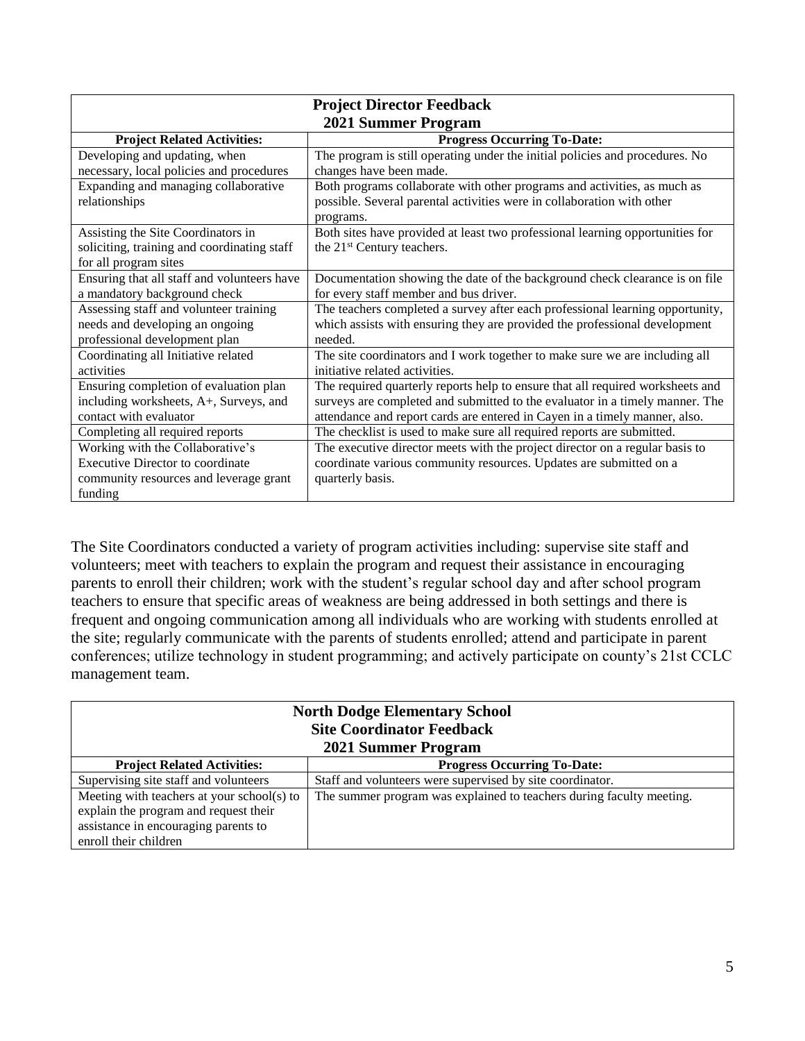| <b>Project Director Feedback</b>            |                                                                                |  |  |
|---------------------------------------------|--------------------------------------------------------------------------------|--|--|
| 2021 Summer Program                         |                                                                                |  |  |
| <b>Project Related Activities:</b>          | <b>Progress Occurring To-Date:</b>                                             |  |  |
| Developing and updating, when               | The program is still operating under the initial policies and procedures. No   |  |  |
| necessary, local policies and procedures    | changes have been made.                                                        |  |  |
| Expanding and managing collaborative        | Both programs collaborate with other programs and activities, as much as       |  |  |
| relationships                               | possible. Several parental activities were in collaboration with other         |  |  |
|                                             | programs.                                                                      |  |  |
| Assisting the Site Coordinators in          | Both sites have provided at least two professional learning opportunities for  |  |  |
| soliciting, training and coordinating staff | the 21 <sup>st</sup> Century teachers.                                         |  |  |
| for all program sites                       |                                                                                |  |  |
| Ensuring that all staff and volunteers have | Documentation showing the date of the background check clearance is on file    |  |  |
| a mandatory background check                | for every staff member and bus driver.                                         |  |  |
| Assessing staff and volunteer training      | The teachers completed a survey after each professional learning opportunity,  |  |  |
| needs and developing an ongoing             | which assists with ensuring they are provided the professional development     |  |  |
| professional development plan               | needed.                                                                        |  |  |
| Coordinating all Initiative related         | The site coordinators and I work together to make sure we are including all    |  |  |
| activities                                  | initiative related activities.                                                 |  |  |
| Ensuring completion of evaluation plan      | The required quarterly reports help to ensure that all required worksheets and |  |  |
| including worksheets, A+, Surveys, and      | surveys are completed and submitted to the evaluator in a timely manner. The   |  |  |
| contact with evaluator                      | attendance and report cards are entered in Cayen in a timely manner, also.     |  |  |
| Completing all required reports             | The checklist is used to make sure all required reports are submitted.         |  |  |
| Working with the Collaborative's            | The executive director meets with the project director on a regular basis to   |  |  |
| <b>Executive Director to coordinate</b>     | coordinate various community resources. Updates are submitted on a             |  |  |
| community resources and leverage grant      | quarterly basis.                                                               |  |  |
| funding                                     |                                                                                |  |  |

The Site Coordinators conducted a variety of program activities including: supervise site staff and volunteers; meet with teachers to explain the program and request their assistance in encouraging parents to enroll their children; work with the student's regular school day and after school program teachers to ensure that specific areas of weakness are being addressed in both settings and there is frequent and ongoing communication among all individuals who are working with students enrolled at the site; regularly communicate with the parents of students enrolled; attend and participate in parent conferences; utilize technology in student programming; and actively participate on county's 21st CCLC management team.

| <b>North Dodge Elementary School</b><br><b>Site Coordinator Feedback</b><br>2021 Summer Program                                                      |                                                                      |  |
|------------------------------------------------------------------------------------------------------------------------------------------------------|----------------------------------------------------------------------|--|
| <b>Project Related Activities:</b>                                                                                                                   | <b>Progress Occurring To-Date:</b>                                   |  |
| Supervising site staff and volunteers                                                                                                                | Staff and volunteers were supervised by site coordinator.            |  |
| Meeting with teachers at your school(s) to<br>explain the program and request their<br>assistance in encouraging parents to<br>enroll their children | The summer program was explained to teachers during faculty meeting. |  |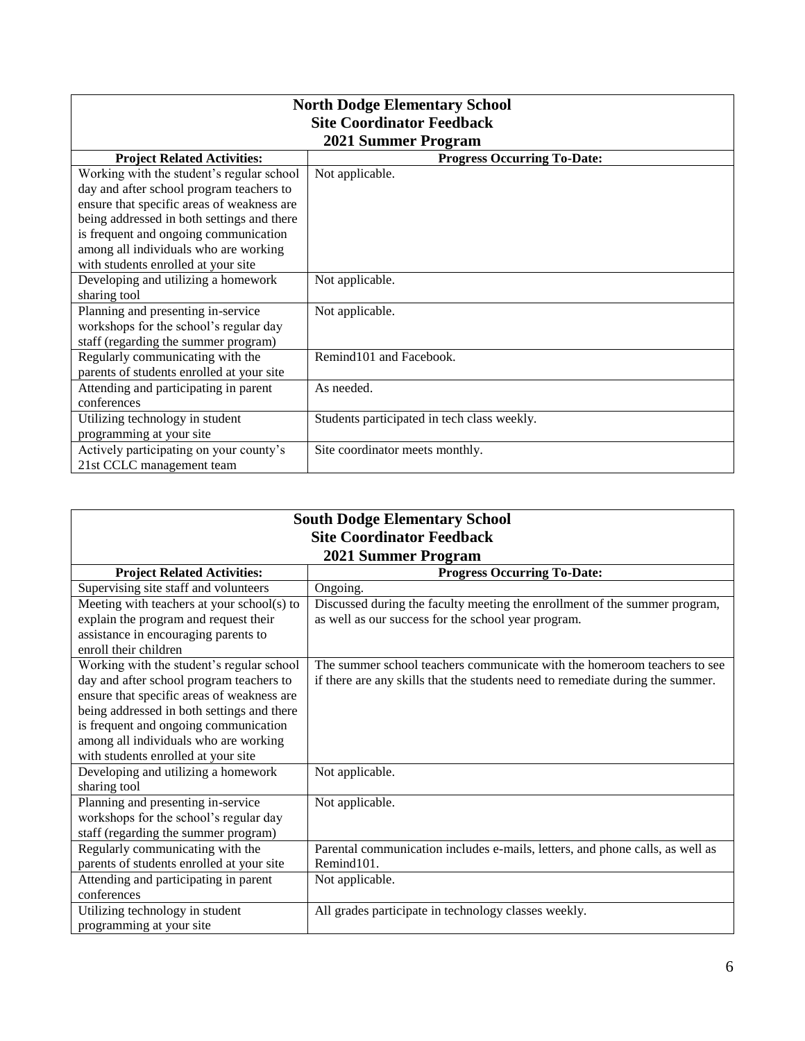| <b>North Dodge Elementary School</b>       |                                             |  |
|--------------------------------------------|---------------------------------------------|--|
| <b>Site Coordinator Feedback</b>           |                                             |  |
| 2021 Summer Program                        |                                             |  |
| <b>Project Related Activities:</b>         | <b>Progress Occurring To-Date:</b>          |  |
| Working with the student's regular school  | Not applicable.                             |  |
| day and after school program teachers to   |                                             |  |
| ensure that specific areas of weakness are |                                             |  |
| being addressed in both settings and there |                                             |  |
| is frequent and ongoing communication      |                                             |  |
| among all individuals who are working      |                                             |  |
| with students enrolled at your site        |                                             |  |
| Developing and utilizing a homework        | Not applicable.                             |  |
| sharing tool                               |                                             |  |
| Planning and presenting in-service         | Not applicable.                             |  |
| workshops for the school's regular day     |                                             |  |
| staff (regarding the summer program)       |                                             |  |
| Regularly communicating with the           | Remind101 and Facebook.                     |  |
| parents of students enrolled at your site  |                                             |  |
| Attending and participating in parent      | As needed.                                  |  |
| conferences                                |                                             |  |
| Utilizing technology in student            | Students participated in tech class weekly. |  |
| programming at your site                   |                                             |  |
| Actively participating on your county's    | Site coordinator meets monthly.             |  |
| 21st CCLC management team                  |                                             |  |

| <b>South Dodge Elementary School</b>       |                                                                                |  |
|--------------------------------------------|--------------------------------------------------------------------------------|--|
| <b>Site Coordinator Feedback</b>           |                                                                                |  |
| 2021 Summer Program                        |                                                                                |  |
| <b>Project Related Activities:</b>         | <b>Progress Occurring To-Date:</b>                                             |  |
| Supervising site staff and volunteers      | Ongoing.                                                                       |  |
| Meeting with teachers at your school(s) to | Discussed during the faculty meeting the enrollment of the summer program,     |  |
| explain the program and request their      | as well as our success for the school year program.                            |  |
| assistance in encouraging parents to       |                                                                                |  |
| enroll their children                      |                                                                                |  |
| Working with the student's regular school  | The summer school teachers communicate with the homeroom teachers to see       |  |
| day and after school program teachers to   | if there are any skills that the students need to remediate during the summer. |  |
| ensure that specific areas of weakness are |                                                                                |  |
| being addressed in both settings and there |                                                                                |  |
| is frequent and ongoing communication      |                                                                                |  |
| among all individuals who are working      |                                                                                |  |
| with students enrolled at your site        |                                                                                |  |
| Developing and utilizing a homework        | Not applicable.                                                                |  |
| sharing tool                               |                                                                                |  |
| Planning and presenting in-service         | Not applicable.                                                                |  |
| workshops for the school's regular day     |                                                                                |  |
| staff (regarding the summer program)       |                                                                                |  |
| Regularly communicating with the           | Parental communication includes e-mails, letters, and phone calls, as well as  |  |
| parents of students enrolled at your site  | Remind101.                                                                     |  |
| Attending and participating in parent      | Not applicable.                                                                |  |
| conferences                                |                                                                                |  |
| Utilizing technology in student            | All grades participate in technology classes weekly.                           |  |
| programming at your site                   |                                                                                |  |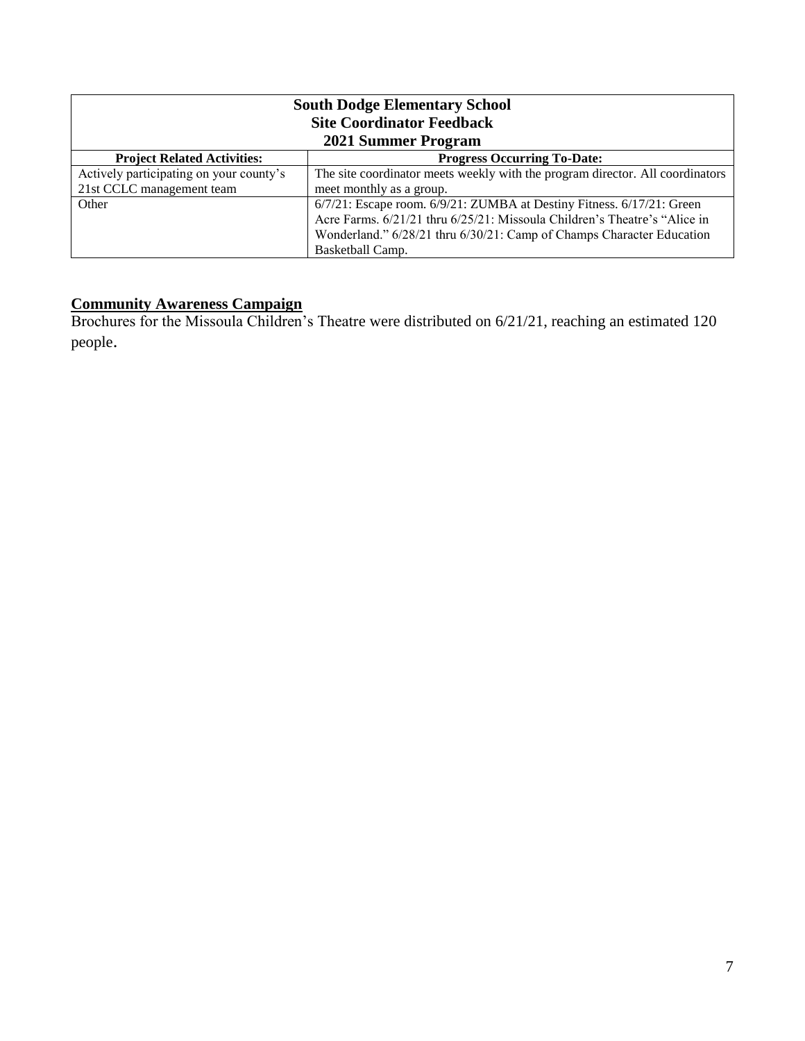| <b>South Dodge Elementary School</b><br><b>Site Coordinator Feedback</b><br>2021 Summer Program |                                                                               |  |
|-------------------------------------------------------------------------------------------------|-------------------------------------------------------------------------------|--|
| <b>Project Related Activities:</b>                                                              | <b>Progress Occurring To-Date:</b>                                            |  |
| Actively participating on your county's                                                         | The site coordinator meets weekly with the program director. All coordinators |  |
| 21st CCLC management team                                                                       | meet monthly as a group.                                                      |  |
| Other                                                                                           | 6/7/21: Escape room. 6/9/21: ZUMBA at Destiny Fitness. 6/17/21: Green         |  |
|                                                                                                 | Acre Farms. 6/21/21 thru 6/25/21: Missoula Children's Theatre's "Alice in     |  |
|                                                                                                 | Wonderland." 6/28/21 thru 6/30/21: Camp of Champs Character Education         |  |
|                                                                                                 | Basketball Camp.                                                              |  |

#### **Community Awareness Campaign**

Brochures for the Missoula Children's Theatre were distributed on 6/21/21, reaching an estimated 120 people.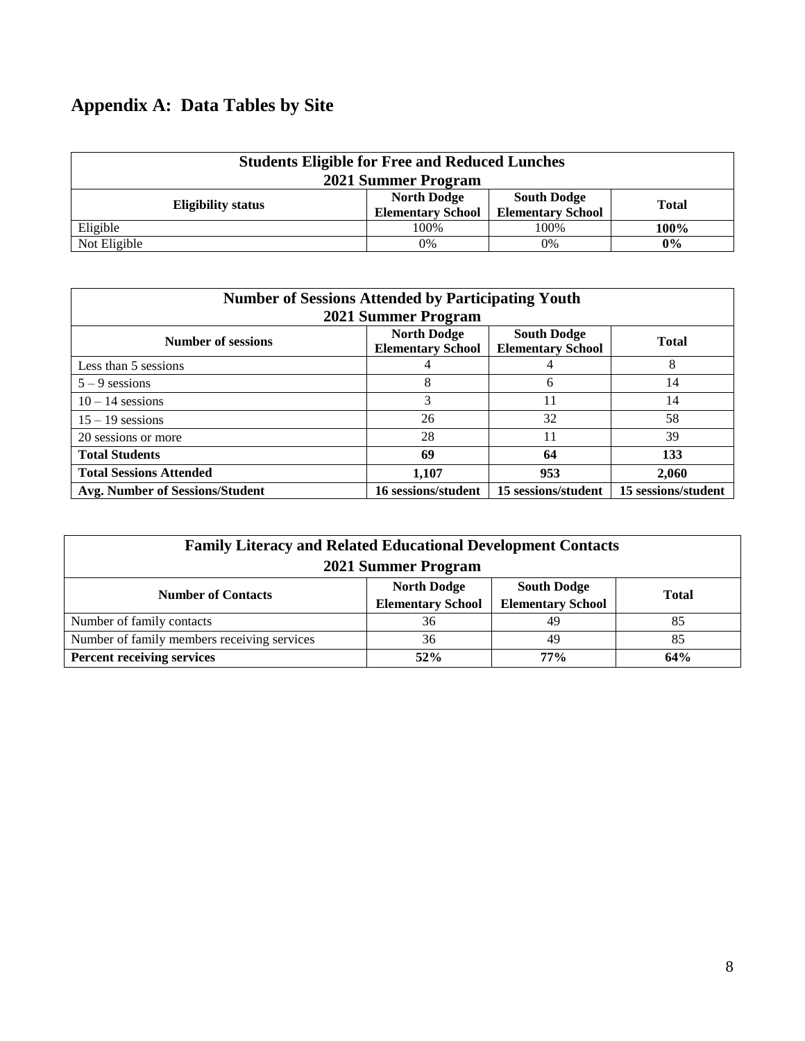# **Appendix A: Data Tables by Site**

| <b>Students Eligible for Free and Reduced Lunches</b><br>2021 Summer Program |                                                |                                                |              |
|------------------------------------------------------------------------------|------------------------------------------------|------------------------------------------------|--------------|
| <b>Eligibility status</b>                                                    | <b>North Dodge</b><br><b>Elementary School</b> | <b>South Dodge</b><br><b>Elementary School</b> | <b>Total</b> |
| Eligible                                                                     | 100%                                           | 100%                                           | 100%         |
| Not Eligible                                                                 | 0%                                             | 0%                                             | 0%           |

|                                        | <b>Number of Sessions Attended by Participating Youth</b> |                     |                     |  |  |  |  |  |  |  |  |  |
|----------------------------------------|-----------------------------------------------------------|---------------------|---------------------|--|--|--|--|--|--|--|--|--|
| 2021 Summer Program                    |                                                           |                     |                     |  |  |  |  |  |  |  |  |  |
| <b>Number of sessions</b>              | <b>Total</b>                                              |                     |                     |  |  |  |  |  |  |  |  |  |
| Less than 5 sessions                   |                                                           |                     | 8                   |  |  |  |  |  |  |  |  |  |
| $5 - 9$ sessions                       | 8                                                         | 6                   | 14                  |  |  |  |  |  |  |  |  |  |
| $10 - 14$ sessions                     | 3                                                         | 11                  | 14                  |  |  |  |  |  |  |  |  |  |
| $15 - 19$ sessions                     | 26                                                        | 32                  | 58                  |  |  |  |  |  |  |  |  |  |
| 20 sessions or more                    | 28                                                        | 11                  | 39                  |  |  |  |  |  |  |  |  |  |
| <b>Total Students</b>                  | 69                                                        | 64                  | 133                 |  |  |  |  |  |  |  |  |  |
| <b>Total Sessions Attended</b>         | 1,107                                                     | 953                 | 2,060               |  |  |  |  |  |  |  |  |  |
| <b>Avg. Number of Sessions/Student</b> | 16 sessions/student                                       | 15 sessions/student | 15 sessions/student |  |  |  |  |  |  |  |  |  |

| <b>Family Literacy and Related Educational Development Contacts</b><br>2021 Summer Program                                                    |     |     |     |  |  |  |  |  |  |  |  |  |  |
|-----------------------------------------------------------------------------------------------------------------------------------------------|-----|-----|-----|--|--|--|--|--|--|--|--|--|--|
| <b>North Dodge</b><br><b>South Dodge</b><br><b>Number of Contacts</b><br><b>Total</b><br><b>Elementary School</b><br><b>Elementary School</b> |     |     |     |  |  |  |  |  |  |  |  |  |  |
| Number of family contacts                                                                                                                     | 36  | 49  | 85  |  |  |  |  |  |  |  |  |  |  |
| Number of family members receiving services                                                                                                   | 36  | 49  | 85  |  |  |  |  |  |  |  |  |  |  |
| <b>Percent receiving services</b>                                                                                                             | 52% | 77% | 64% |  |  |  |  |  |  |  |  |  |  |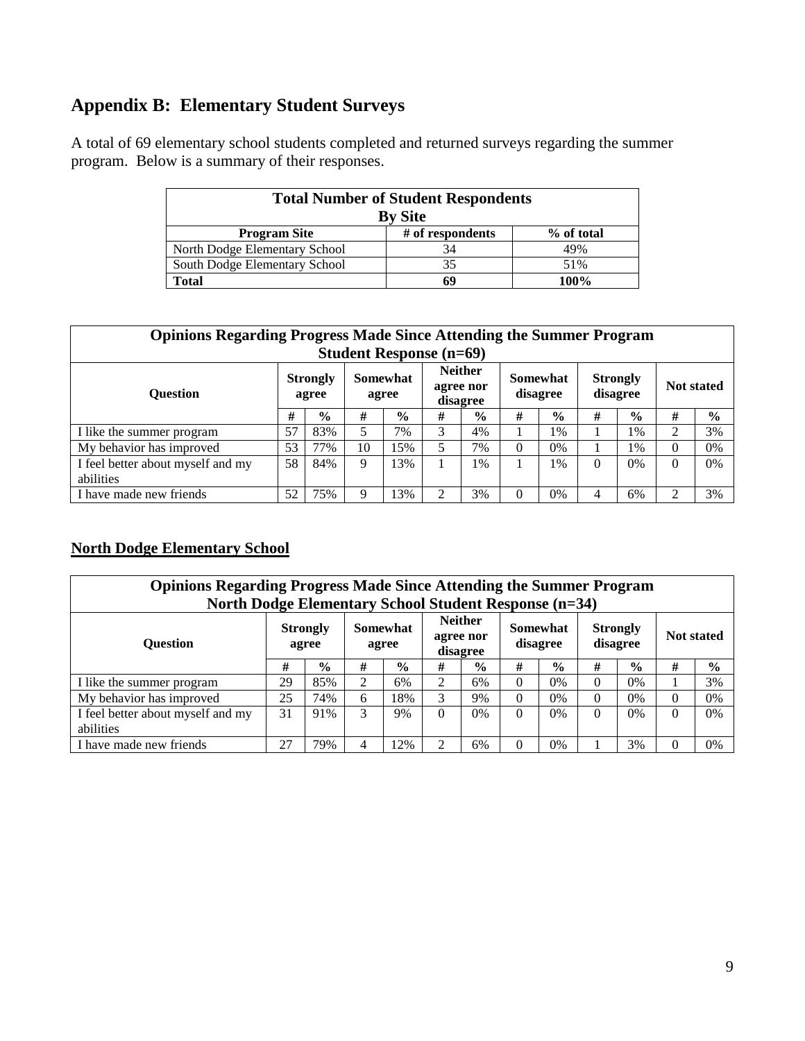# **Appendix B: Elementary Student Surveys**

A total of 69 elementary school students completed and returned surveys regarding the summer program. Below is a summary of their responses.

| <b>Total Number of Student Respondents</b><br><b>By Site</b> |                  |            |  |  |  |  |  |  |  |  |  |
|--------------------------------------------------------------|------------------|------------|--|--|--|--|--|--|--|--|--|
| <b>Program Site</b>                                          | # of respondents | % of total |  |  |  |  |  |  |  |  |  |
| North Dodge Elementary School                                | 34               | 49%        |  |  |  |  |  |  |  |  |  |
| South Dodge Elementary School                                | 35               | 51%        |  |  |  |  |  |  |  |  |  |
| <b>Total</b>                                                 | 69               | $100\%$    |  |  |  |  |  |  |  |  |  |

|                                   | <b>Opinions Regarding Progress Made Since Attending the Summer Program</b> |                          |    |                   |   |                                         |          |                      |   |                             |                   |               |  |  |
|-----------------------------------|----------------------------------------------------------------------------|--------------------------|----|-------------------|---|-----------------------------------------|----------|----------------------|---|-----------------------------|-------------------|---------------|--|--|
| <b>Student Response (n=69)</b>    |                                                                            |                          |    |                   |   |                                         |          |                      |   |                             |                   |               |  |  |
| <b>Ouestion</b>                   |                                                                            | <b>Strongly</b><br>agree |    | Somewhat<br>agree |   | <b>Neither</b><br>agree nor<br>disagree |          | Somewhat<br>disagree |   | <b>Strongly</b><br>disagree | <b>Not stated</b> |               |  |  |
|                                   |                                                                            | $\frac{0}{0}$            | #  | $\frac{6}{9}$     | # | $\frac{6}{9}$                           | #        | $\frac{6}{9}$        | # | $\frac{0}{0}$               | #                 | $\frac{6}{9}$ |  |  |
| I like the summer program         | 57                                                                         | 83%                      |    | 7%                | 3 | 4%                                      |          | 1%                   |   | 1%                          | 2                 | 3%            |  |  |
| My behavior has improved          | 53                                                                         | 77%                      | 10 | 5%                | 5 | 7%                                      | $\Omega$ | $0\%$                |   | $1\%$                       | 0                 | 0%            |  |  |
| I feel better about myself and my | 58                                                                         | 84%                      | 9  | 3%                |   | 1%                                      |          | 1%                   | 0 | $0\%$                       | $\theta$          | $0\%$         |  |  |
| abilities                         |                                                                            |                          |    |                   |   |                                         |          |                      |   |                             |                   |               |  |  |
| I have made new friends           | 52                                                                         | 75%                      | 9  | 3%                | 2 | 3%                                      | 0        | 0%                   | 4 | 6%                          | 2                 | 3%            |  |  |

#### **North Dodge Elementary School**

|                                   | <b>Opinions Regarding Progress Made Since Attending the Summer Program</b><br><b>North Dodge Elementary School Student Response (n=34)</b> |               |   |                   |          |                                         |          |                      |          |                             |          |                   |  |  |
|-----------------------------------|--------------------------------------------------------------------------------------------------------------------------------------------|---------------|---|-------------------|----------|-----------------------------------------|----------|----------------------|----------|-----------------------------|----------|-------------------|--|--|
| <b>Ouestion</b>                   | <b>Strongly</b><br>agree                                                                                                                   |               |   | Somewhat<br>agree |          | <b>Neither</b><br>agree nor<br>disagree |          | Somewhat<br>disagree |          | <b>Strongly</b><br>disagree |          | <b>Not stated</b> |  |  |
|                                   | #                                                                                                                                          | $\frac{0}{0}$ | # | $\frac{6}{9}$     | #        | $\frac{0}{0}$                           | #        | $\frac{0}{0}$        | #        | $\frac{0}{0}$               | #        | $\frac{6}{9}$     |  |  |
| I like the summer program         | 29                                                                                                                                         | 85%           | ↑ | 6%                | 2        | 6%                                      | $\Omega$ | 0%                   | $\Omega$ | $0\%$                       |          | 3%                |  |  |
| My behavior has improved          | 25                                                                                                                                         | 74%           | 6 | 8%                | 3        | 9%                                      | $\Omega$ | $0\%$                | 0        | $0\%$                       | 0        | 0%                |  |  |
| I feel better about myself and my | 31                                                                                                                                         | 91%           | 3 | 9%                | $\Omega$ | $0\%$                                   | $\Omega$ | 0%                   | 0        | $0\%$                       | $\Omega$ | $0\%$             |  |  |
| abilities                         |                                                                                                                                            |               |   |                   |          |                                         |          |                      |          |                             |          |                   |  |  |
| I have made new friends           | 27                                                                                                                                         | 79%           |   | 2%                | 2        | 6%                                      | $\Omega$ | 0%                   |          | 3%                          | 0        | $0\%$             |  |  |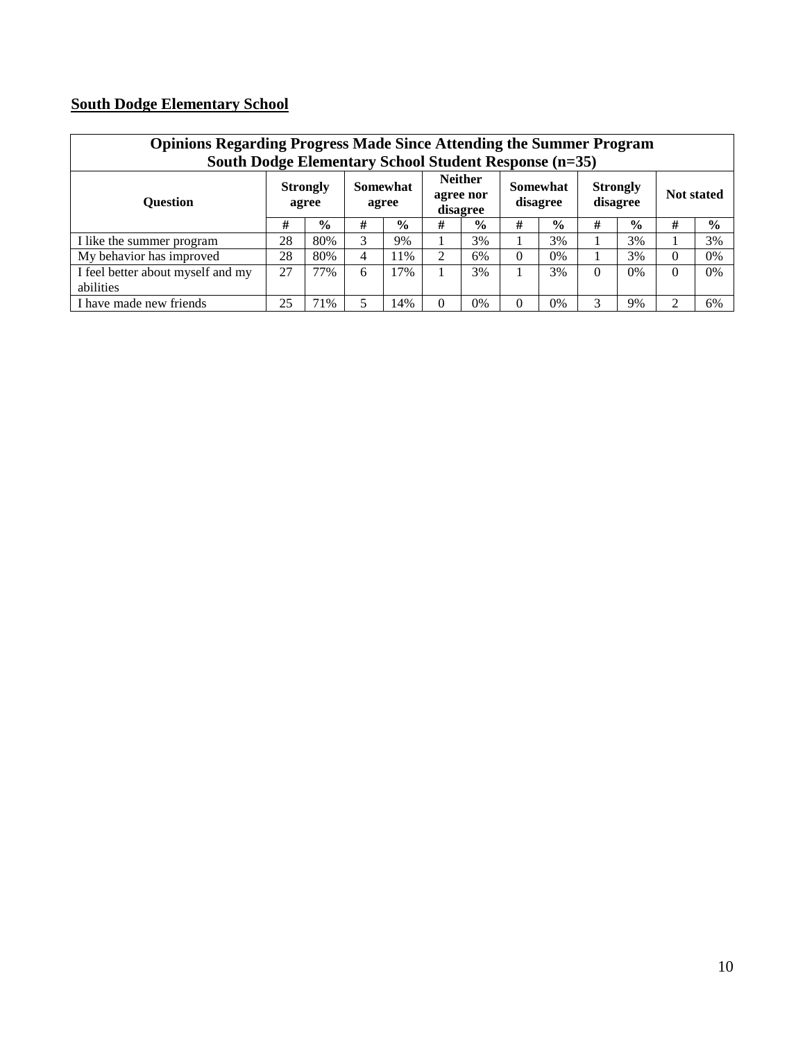# **South Dodge Elementary School**

|                                   | <b>Opinions Regarding Progress Made Since Attending the Summer Program</b><br>South Dodge Elementary School Student Response (n=35) |                          |   |                          |          |                                         |          |                      |   |                             |          |                   |  |  |
|-----------------------------------|-------------------------------------------------------------------------------------------------------------------------------------|--------------------------|---|--------------------------|----------|-----------------------------------------|----------|----------------------|---|-----------------------------|----------|-------------------|--|--|
| <b>Ouestion</b>                   |                                                                                                                                     | <b>Strongly</b><br>agree |   | <b>Somewhat</b><br>agree |          | <b>Neither</b><br>agree nor<br>disagree |          | Somewhat<br>disagree |   | <b>Strongly</b><br>disagree |          | <b>Not stated</b> |  |  |
|                                   | #                                                                                                                                   | $\frac{0}{0}$            | # | $\frac{1}{2}$            | #        | $\%$                                    | #        | $\frac{0}{0}$        | # | $\frac{0}{0}$               | #        | $\frac{0}{0}$     |  |  |
| I like the summer program         | 28                                                                                                                                  | 80%                      | 3 | 9%                       |          | 3%                                      |          | 3%                   |   | 3%                          |          | 3%                |  |  |
| My behavior has improved          | 28                                                                                                                                  | 80%                      | 4 | 1%                       | 2        | 6%                                      | $\Omega$ | $0\%$                |   | 3%                          | $\theta$ | $0\%$             |  |  |
| I feel better about myself and my | 27                                                                                                                                  | 77%                      | 6 | 7%                       |          | 3%                                      |          | 3%                   | 0 | $0\%$                       | $\theta$ | $0\%$             |  |  |
| abilities                         |                                                                                                                                     |                          |   |                          |          |                                         |          |                      |   |                             |          |                   |  |  |
| I have made new friends           | 25                                                                                                                                  | 71%                      |   | 4%                       | $\Omega$ | 0%                                      | $\Omega$ | 0%                   | 3 | 9%                          | 2        | 6%                |  |  |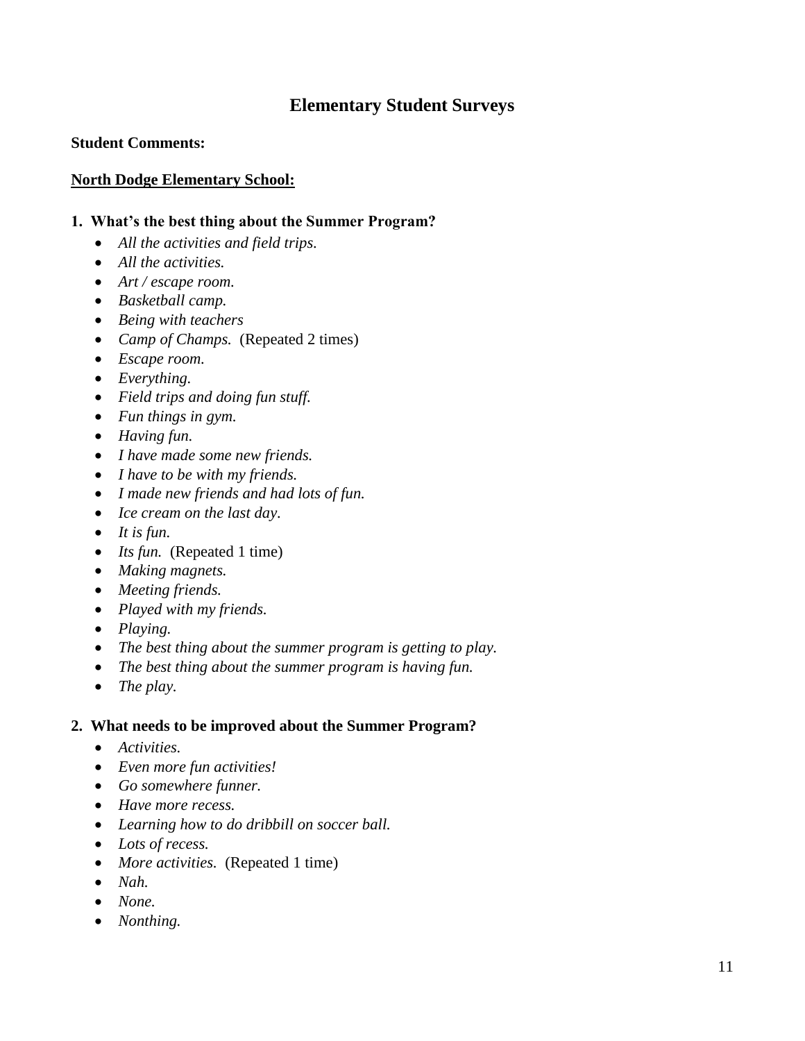# **Elementary Student Surveys**

#### **Student Comments:**

#### **North Dodge Elementary School:**

#### **1. What's the best thing about the Summer Program?**

- *All the activities and field trips.*
- *All the activities.*
- *Art / escape room.*
- *Basketball camp.*
- *Being with teachers*
- *Camp of Champs.* (Repeated 2 times)
- *Escape room.*
- *Everything.*
- *Field trips and doing fun stuff.*
- *Fun things in gym.*
- *Having fun.*
- *I have made some new friends.*
- *I have to be with my friends.*
- *I made new friends and had lots of fun.*
- *Ice cream on the last day.*
- *It is fun.*
- *Its fun.* (Repeated 1 time)
- *Making magnets.*
- *Meeting friends.*
- *Played with my friends.*
- *Playing.*
- *The best thing about the summer program is getting to play.*
- *The best thing about the summer program is having fun.*
- *The play.*

#### **2. What needs to be improved about the Summer Program?**

- *Activities.*
- *Even more fun activities!*
- *Go somewhere funner.*
- *Have more recess.*
- *Learning how to do dribbill on soccer ball.*
- *Lots of recess.*
- *More activities.* (Repeated 1 time)
- *Nah.*
- *None.*
- *Nonthing.*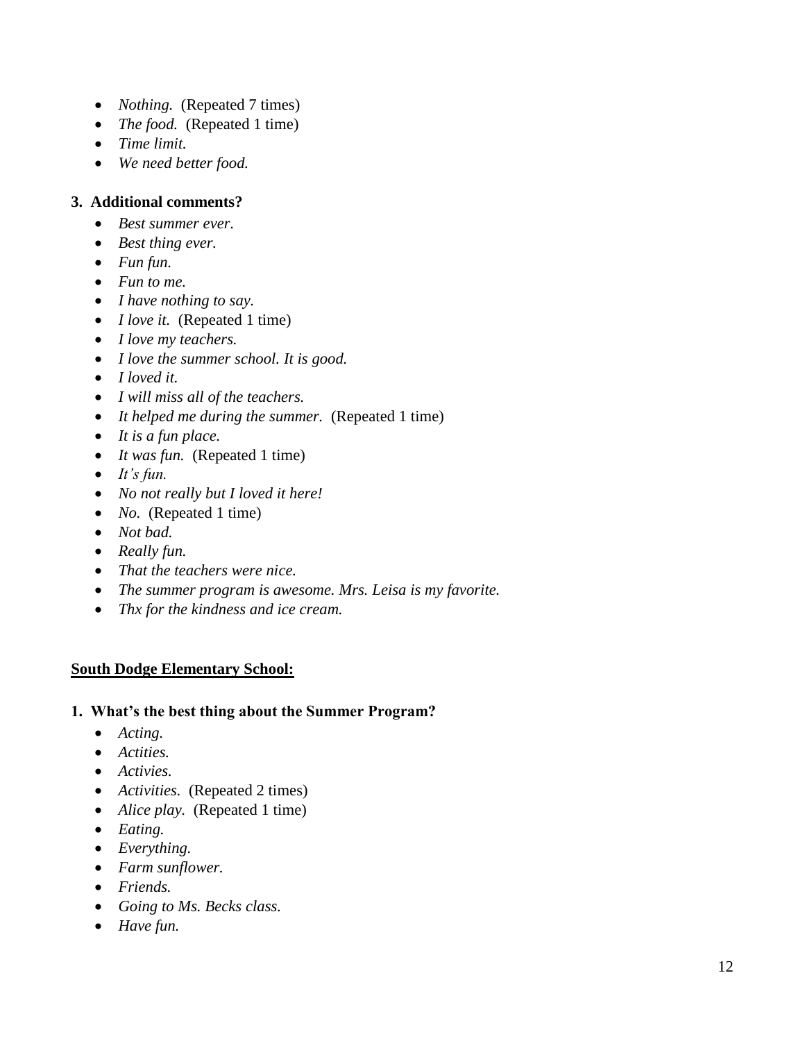- *Nothing.* (Repeated 7 times)
- *The food.* (Repeated 1 time)
- *Time limit.*
- *We need better food.*

#### **3. Additional comments?**

- *Best summer ever.*
- *Best thing ever.*
- *Fun fun.*
- *Fun to me.*
- *I have nothing to say.*
- *I love it.* (Repeated 1 time)
- *I love my teachers.*
- *I love the summer school. It is good.*
- *I loved it.*
- *I will miss all of the teachers.*
- It helped me during the summer. (Repeated 1 time)
- *It is a fun place.*
- *It was fun.* (Repeated 1 time)
- *It's fun.*
- *No not really but I loved it here!*
- *No.* (Repeated 1 time)
- *Not bad.*
- *Really fun.*
- *That the teachers were nice.*
- *The summer program is awesome. Mrs. Leisa is my favorite.*
- *Thx for the kindness and ice cream.*

## **South Dodge Elementary School:**

- **1. What's the best thing about the Summer Program?**
	- *Acting.*
	- *Actities.*
	- *Activies.*
	- *Activities.* (Repeated 2 times)
	- *Alice play.* (Repeated 1 time)
	- *Eating.*
	- *Everything.*
	- *Farm sunflower.*
	- *Friends.*
	- *Going to Ms. Becks class.*
	- *Have fun.*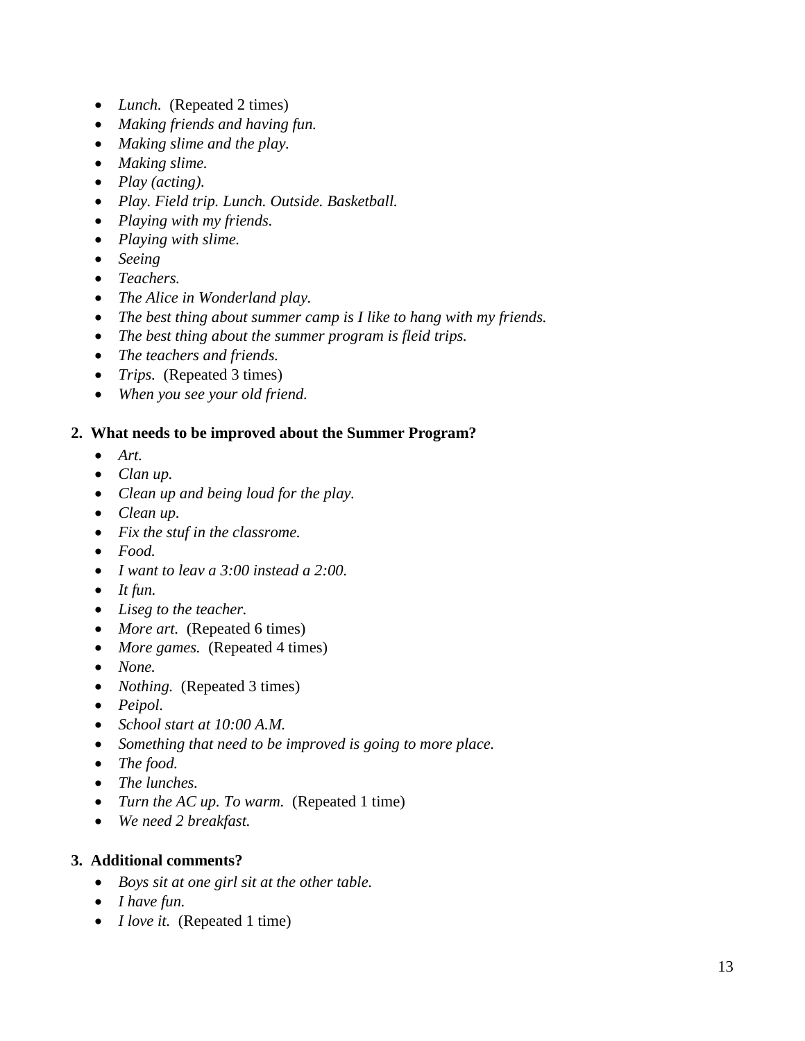- *Lunch.* (Repeated 2 times)
- *Making friends and having fun.*
- *Making slime and the play.*
- *Making slime.*
- *Play (acting).*
- *Play. Field trip. Lunch. Outside. Basketball.*
- *Playing with my friends.*
- *Playing with slime.*
- *Seeing*
- *Teachers.*
- *The Alice in Wonderland play.*
- *The best thing about summer camp is I like to hang with my friends.*
- *The best thing about the summer program is fleid trips.*
- *The teachers and friends.*
- *Trips.* (Repeated 3 times)
- *When you see your old friend.*

#### **2. What needs to be improved about the Summer Program?**

- *Art.*
- *Clan up.*
- *Clean up and being loud for the play.*
- *Clean up.*
- *Fix the stuf in the classrome.*
- *Food.*
- *I want to leav a 3:00 instead a 2:00.*
- *It fun.*
- *Liseg to the teacher.*
- *More art.* (Repeated 6 times)
- *More games.* (Repeated 4 times)
- *None.*
- *Nothing.* (Repeated 3 times)
- *Peipol.*
- *School start at 10:00 A.M.*
- *Something that need to be improved is going to more place.*
- *The food.*
- *The lunches.*
- *Turn the AC up. To warm.* (Repeated 1 time)
- *We need 2 breakfast.*

## **3. Additional comments?**

- *Boys sit at one girl sit at the other table.*
- *I have fun.*
- *I love it.* (Repeated 1 time)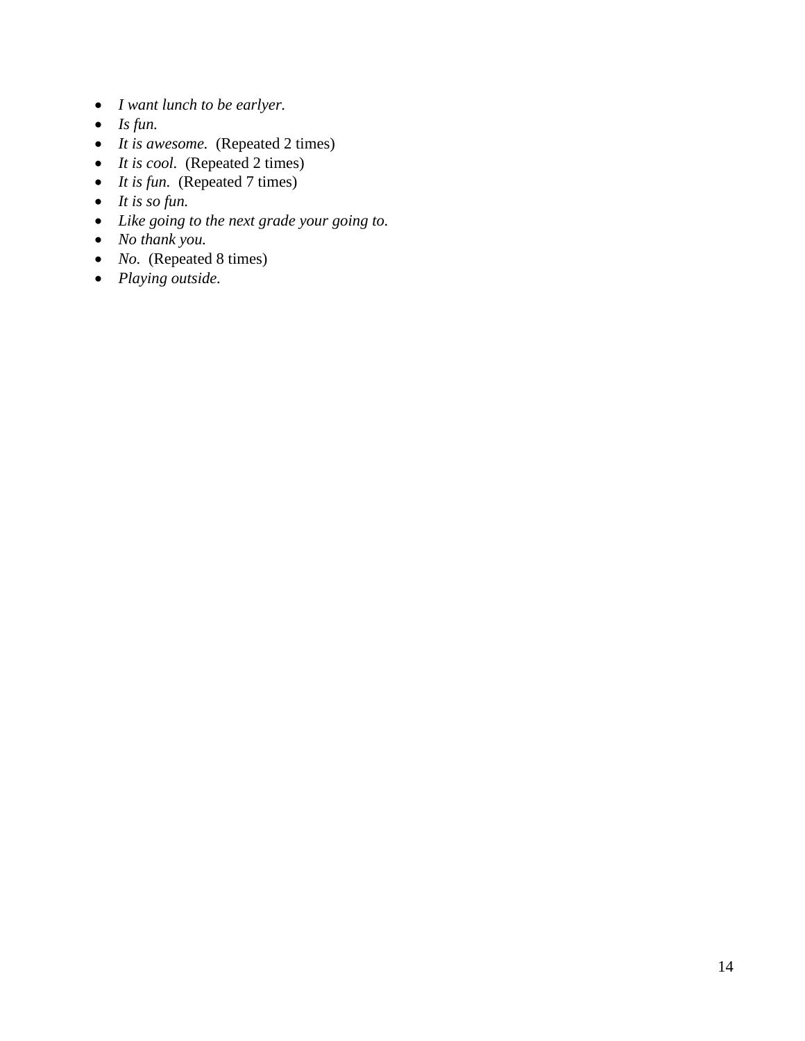- *I want lunch to be earlyer.*
- *Is fun.*
- *It is awesome.* (Repeated 2 times)
- *It is cool.* (Repeated 2 times)
- *It is fun.* (Repeated 7 times)
- *It is so fun.*
- *Like going to the next grade your going to.*
- *No thank you.*
- *No.* (Repeated 8 times)
- *Playing outside.*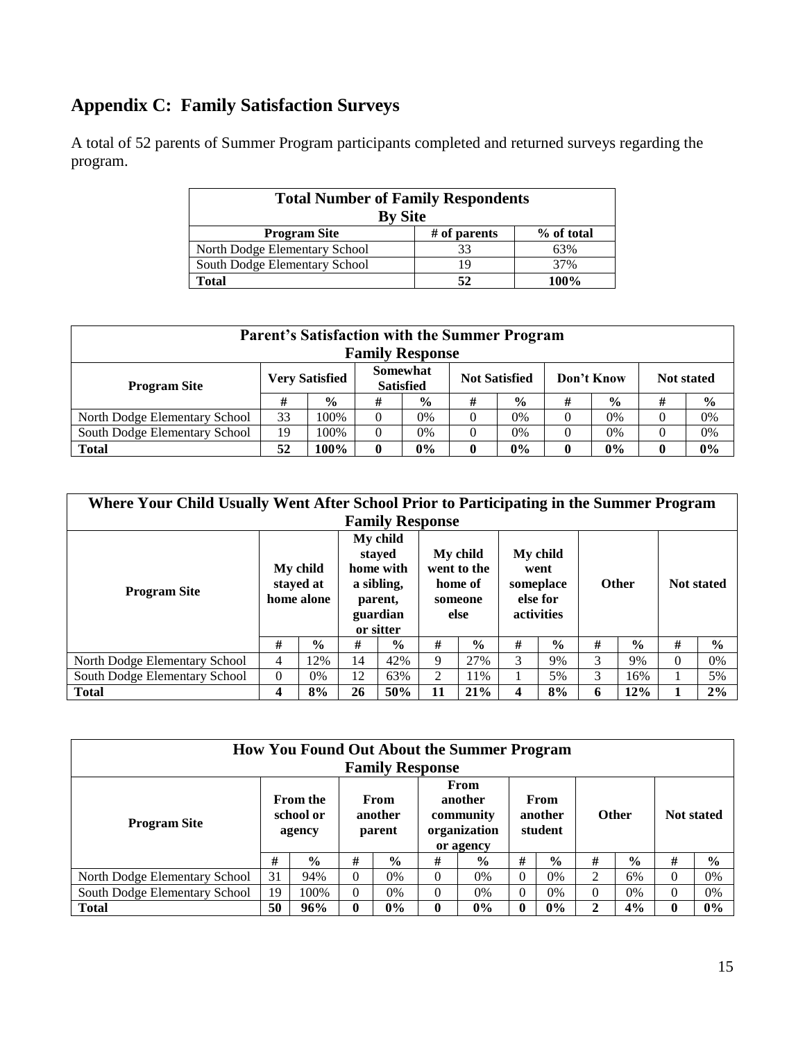# **Appendix C: Family Satisfaction Surveys**

A total of 52 parents of Summer Program participants completed and returned surveys regarding the program.

| <b>Total Number of Family Respondents</b> |                |            |  |  |  |  |  |  |  |  |  |  |
|-------------------------------------------|----------------|------------|--|--|--|--|--|--|--|--|--|--|
| <b>By Site</b>                            |                |            |  |  |  |  |  |  |  |  |  |  |
| <b>Program Site</b>                       | $#$ of parents | % of total |  |  |  |  |  |  |  |  |  |  |
| North Dodge Elementary School             | 33             | 63%        |  |  |  |  |  |  |  |  |  |  |
| South Dodge Elementary School             | 19             | 37%        |  |  |  |  |  |  |  |  |  |  |
| Total                                     | 52             | 100%       |  |  |  |  |  |  |  |  |  |  |

| <b>Parent's Satisfaction with the Summer Program</b><br><b>Family Response</b> |    |                       |          |                              |   |                      |          |               |                   |               |  |  |
|--------------------------------------------------------------------------------|----|-----------------------|----------|------------------------------|---|----------------------|----------|---------------|-------------------|---------------|--|--|
| <b>Program Site</b>                                                            |    | <b>Very Satisfied</b> |          | Somewhat<br><b>Satisfied</b> |   | <b>Not Satisfied</b> |          | Don't Know    | <b>Not stated</b> |               |  |  |
|                                                                                | #  | $\frac{0}{0}$         | #        | $\frac{0}{0}$                | # | $\frac{0}{0}$        | #        | $\frac{0}{0}$ | #                 | $\frac{6}{9}$ |  |  |
| North Dodge Elementary School                                                  | 33 | 100%                  | $\Omega$ | 0%                           | 0 | 0%                   |          | 0%            |                   | 0%            |  |  |
| South Dodge Elementary School                                                  | 19 | 100%                  | 0        | 0%                           |   | 0%                   |          | 0%            |                   | $0\%$         |  |  |
| <b>Total</b>                                                                   | 52 | 100%                  | $\bf{0}$ | $0\%$                        |   | 0%                   | $\bf{0}$ | 0%            | 0                 | $0\%$         |  |  |

| Where Your Child Usually Went After School Prior to Participating in the Summer Program |          |                                     |    |                                                                                   |    |                                                       |                                                                |               |              |               |                   |               |  |
|-----------------------------------------------------------------------------------------|----------|-------------------------------------|----|-----------------------------------------------------------------------------------|----|-------------------------------------------------------|----------------------------------------------------------------|---------------|--------------|---------------|-------------------|---------------|--|
| <b>Family Response</b>                                                                  |          |                                     |    |                                                                                   |    |                                                       |                                                                |               |              |               |                   |               |  |
| <b>Program Site</b>                                                                     |          | My child<br>stayed at<br>home alone |    | My child<br>staved<br>home with<br>a sibling,<br>parent,<br>guardian<br>or sitter |    | My child<br>went to the<br>home of<br>someone<br>else | My child<br>went<br>someplace<br>else for<br><b>activities</b> |               | <b>Other</b> |               | <b>Not stated</b> |               |  |
|                                                                                         | #        | $\frac{0}{0}$                       | #  | $\frac{0}{0}$                                                                     | #  | $\frac{0}{0}$                                         | #                                                              | $\frac{0}{0}$ | #            | $\frac{6}{6}$ | #                 | $\frac{0}{0}$ |  |
| North Dodge Elementary School                                                           | 4        | 12%                                 | 14 | 42%                                                                               | 9  | 27%                                                   | 3                                                              | 9%            | 3            | 9%            | $\Omega$          | $0\%$         |  |
| South Dodge Elementary School                                                           | $\Omega$ | $0\%$                               | 12 | 63%                                                                               | 2  | 11%                                                   |                                                                | 5%            | 3            | 16%           |                   | 5%            |  |
| <b>Total</b>                                                                            | 4        | 8%                                  | 26 | 50%                                                                               | 11 | 21%                                                   | 4                                                              | 8%            | 6            | 12%           |                   | 2%            |  |

|                               | <b>How You Found Out About the Summer Program</b><br><b>Family Response</b> |               |                                                           |               |                            |               |              |               |                   |               |              |               |  |  |
|-------------------------------|-----------------------------------------------------------------------------|---------------|-----------------------------------------------------------|---------------|----------------------------|---------------|--------------|---------------|-------------------|---------------|--------------|---------------|--|--|
| <b>Program Site</b>           | <b>From the</b><br>From<br>school or<br>another<br>parent<br>agency         |               | From<br>another<br>community<br>organization<br>or agency |               | From<br>another<br>student |               | <b>Other</b> |               | <b>Not stated</b> |               |              |               |  |  |
|                               | #                                                                           | $\frac{0}{0}$ | #                                                         | $\frac{0}{0}$ | #                          | $\frac{6}{9}$ | #            | $\frac{6}{9}$ | #                 | $\frac{6}{9}$ | #            | $\frac{6}{6}$ |  |  |
| North Dodge Elementary School | 31                                                                          | 94%           | $\Omega$                                                  | 0%            | $\Omega$                   | $0\%$         | $\Omega$     | 0%            | 2                 | 6%            | $\Omega$     | 0%            |  |  |
| South Dodge Elementary School | 19                                                                          | 100%          | $\theta$<br>0%                                            |               | $\Omega$                   | 0%            |              | $0\%$         | 0                 | 0%            | $\Omega$     | 0%            |  |  |
| <b>Total</b>                  | 50                                                                          | 96%           | 0                                                         | $0\%$         | $\mathbf{0}$               | $0\%$         | 0            | 0%            | ↑                 | 4%            | $\mathbf{0}$ | $0\%$         |  |  |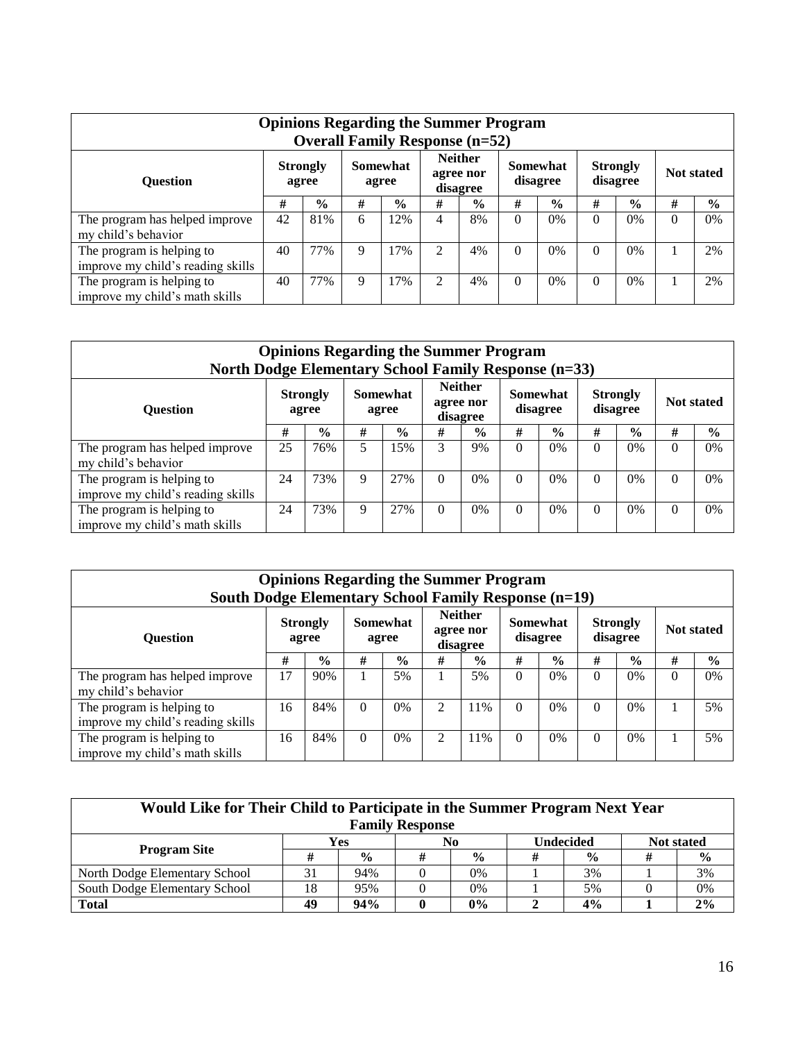|                                                                | <b>Opinions Regarding the Summer Program</b><br><b>Overall Family Response (n=52)</b> |               |                   |               |                                         |               |                      |               |                             |               |                   |               |  |  |
|----------------------------------------------------------------|---------------------------------------------------------------------------------------|---------------|-------------------|---------------|-----------------------------------------|---------------|----------------------|---------------|-----------------------------|---------------|-------------------|---------------|--|--|
| <b>Ouestion</b>                                                | <b>Strongly</b><br>agree                                                              |               | Somewhat<br>agree |               | <b>Neither</b><br>agree nor<br>disagree |               | Somewhat<br>disagree |               | <b>Strongly</b><br>disagree |               | <b>Not stated</b> |               |  |  |
|                                                                | #                                                                                     | $\frac{6}{9}$ | #                 | $\frac{6}{9}$ | #                                       | $\frac{6}{9}$ | #                    | $\frac{6}{9}$ | #                           | $\frac{6}{9}$ | #                 | $\frac{0}{0}$ |  |  |
| The program has helped improve<br>my child's behavior          | 42                                                                                    | 81%           | 6                 | 12%           | 4                                       | 8%            | $\Omega$             | 0%            | $\Omega$                    | $0\%$         | $\Omega$          | 0%            |  |  |
| The program is helping to<br>improve my child's reading skills | 40                                                                                    | 77%           | 9                 | 17%           | $\overline{2}$                          | 4%            | $\Omega$             | 0%            | $\theta$                    | 0%            |                   | 2%            |  |  |
| The program is helping to<br>improve my child's math skills    | 40                                                                                    | 77%           | 9                 | 17%           | $\overline{2}$                          | 4%            | $\Omega$             | 0%            | 0                           | 0%            |                   | 2%            |  |  |

|                                                                | <b>Opinions Regarding the Summer Program</b><br><b>North Dodge Elementary School Family Response (n=33)</b> |                          |                   |               |                                         |               |                             |               |                             |               |          |                   |  |  |
|----------------------------------------------------------------|-------------------------------------------------------------------------------------------------------------|--------------------------|-------------------|---------------|-----------------------------------------|---------------|-----------------------------|---------------|-----------------------------|---------------|----------|-------------------|--|--|
| <b>Ouestion</b>                                                |                                                                                                             | <b>Strongly</b><br>agree | Somewhat<br>agree |               | <b>Neither</b><br>agree nor<br>disagree |               | <b>Somewhat</b><br>disagree |               | <b>Strongly</b><br>disagree |               |          | <b>Not stated</b> |  |  |
|                                                                | #                                                                                                           | $\frac{6}{9}$            | #                 | $\frac{6}{6}$ | #                                       | $\frac{0}{0}$ | #                           | $\frac{6}{9}$ | #                           | $\frac{0}{0}$ | #        | $\frac{0}{0}$     |  |  |
| The program has helped improve<br>my child's behavior          | 25                                                                                                          | 76%                      | 5                 | 15%           | 3                                       | 9%            | $\Omega$                    | $0\%$         | $\Omega$                    | $0\%$         | $\Omega$ | 0%                |  |  |
| The program is helping to<br>improve my child's reading skills | 24                                                                                                          | 73%                      | 9                 | 27%           | $\Omega$                                | $0\%$         | $\theta$                    | 0%            | $\Omega$                    | 0%            | $\theta$ | 0%                |  |  |
| The program is helping to<br>improve my child's math skills    | 24                                                                                                          | 73%                      | 9                 | 27%           | $\Omega$                                | $0\%$         | $\theta$                    | 0%            | $\Omega$                    | 0%            | $\Omega$ | 0%                |  |  |

| <b>Opinions Regarding the Summer Program</b><br><b>South Dodge Elementary School Family Response (n=19)</b> |    |                          |          |                   |   |                                         |          |                      |                             |               |                   |               |
|-------------------------------------------------------------------------------------------------------------|----|--------------------------|----------|-------------------|---|-----------------------------------------|----------|----------------------|-----------------------------|---------------|-------------------|---------------|
| <b>Ouestion</b>                                                                                             |    | <b>Strongly</b><br>agree |          | Somewhat<br>agree |   | <b>Neither</b><br>agree nor<br>disagree |          | Somewhat<br>disagree | <b>Strongly</b><br>disagree |               | <b>Not stated</b> |               |
|                                                                                                             | #  | $\frac{0}{0}$            | #        | $\frac{1}{2}$     | # | $\frac{0}{0}$                           | #        | $\frac{6}{9}$        | #                           | $\frac{0}{0}$ | #                 | $\frac{0}{0}$ |
| The program has helped improve<br>my child's behavior                                                       | 17 | 90%                      |          | 5%                |   | 5%                                      | $\Omega$ | $0\%$                | $\Omega$                    | $0\%$         | $\theta$          | $0\%$         |
| The program is helping to<br>improve my child's reading skills                                              | 16 | 84%                      | $\Omega$ | $0\%$             | 2 | 11%                                     | $\Omega$ | 0%                   | $\Omega$                    | 0%            |                   | 5%            |
| The program is helping to<br>improve my child's math skills                                                 | 16 | 84%                      | $\Omega$ | $0\%$             | 2 | 11%                                     | $\Omega$ | 0%                   | $\Omega$                    | $0\%$         |                   | 5%            |

| Would Like for Their Child to Participate in the Summer Program Next Year |     |               |  |               |  |               |                   |               |  |
|---------------------------------------------------------------------------|-----|---------------|--|---------------|--|---------------|-------------------|---------------|--|
| <b>Family Response</b>                                                    |     |               |  |               |  |               |                   |               |  |
|                                                                           | Yes |               |  | No            |  | Undecided     | <b>Not stated</b> |               |  |
| <b>Program Site</b>                                                       |     | $\frac{6}{6}$ |  | $\frac{0}{0}$ |  | $\frac{0}{0}$ |                   | $\frac{6}{9}$ |  |
| North Dodge Elementary School                                             |     | 94%           |  | 0%            |  | 3%            |                   | 3%            |  |
| South Dodge Elementary School                                             | 18. | 95%           |  | 0%            |  | 5%            |                   | 0%            |  |
| <b>Total</b>                                                              | 49  | 94%           |  | $0\%$         |  | 4%            |                   | 2%            |  |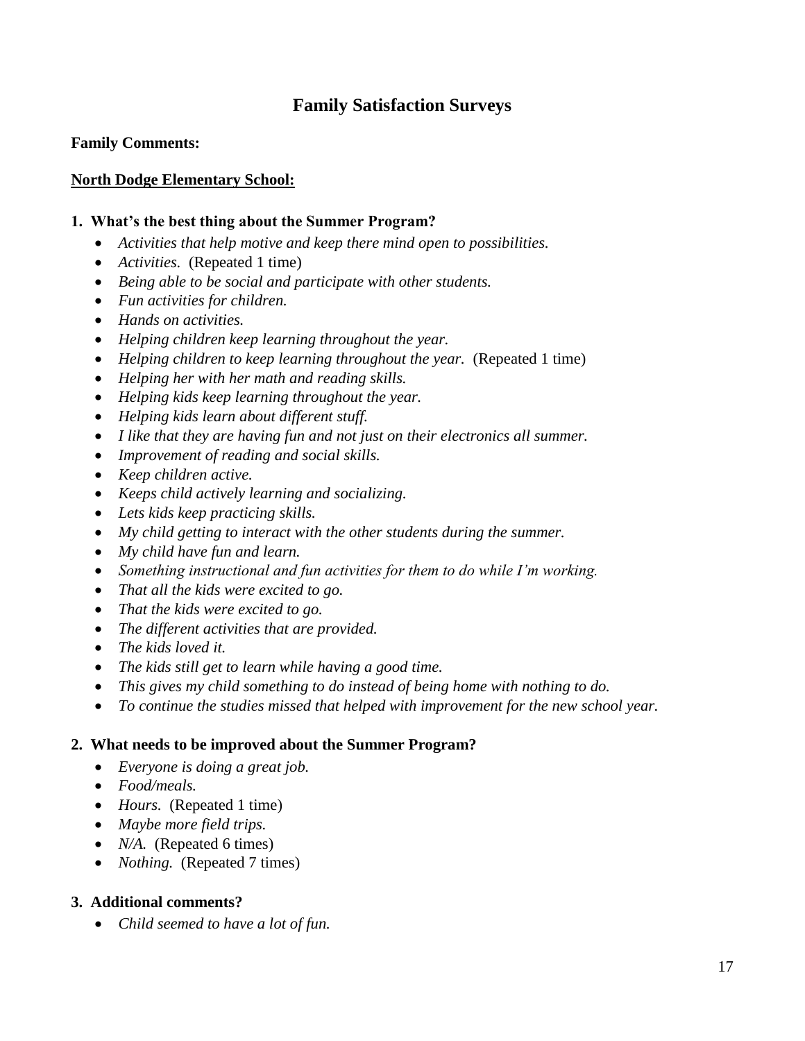# **Family Satisfaction Surveys**

#### **Family Comments:**

#### **North Dodge Elementary School:**

#### **1. What's the best thing about the Summer Program?**

- *Activities that help motive and keep there mind open to possibilities.*
- *Activities.* (Repeated 1 time)
- *Being able to be social and participate with other students.*
- *Fun activities for children.*
- *Hands on activities.*
- *Helping children keep learning throughout the year.*
- Helping children to keep learning throughout the year. (Repeated 1 time)
- *Helping her with her math and reading skills.*
- *Helping kids keep learning throughout the year.*
- *Helping kids learn about different stuff.*
- *I like that they are having fun and not just on their electronics all summer.*
- *Improvement of reading and social skills.*
- *Keep children active.*
- *Keeps child actively learning and socializing.*
- *Lets kids keep practicing skills.*
- *My child getting to interact with the other students during the summer.*
- *My child have fun and learn.*
- *Something instructional and fun activities for them to do while I'm working.*
- *That all the kids were excited to go.*
- *That the kids were excited to go.*
- *The different activities that are provided.*
- *The kids loved it.*
- *The kids still get to learn while having a good time.*
- *This gives my child something to do instead of being home with nothing to do.*
- *To continue the studies missed that helped with improvement for the new school year.*

#### **2. What needs to be improved about the Summer Program?**

- *Everyone is doing a great job.*
- *Food/meals.*
- *Hours.* (Repeated 1 time)
- *Maybe more field trips.*
- *N/A.* (Repeated 6 times)
- *Nothing.* (Repeated 7 times)

#### **3. Additional comments?**

*Child seemed to have a lot of fun.*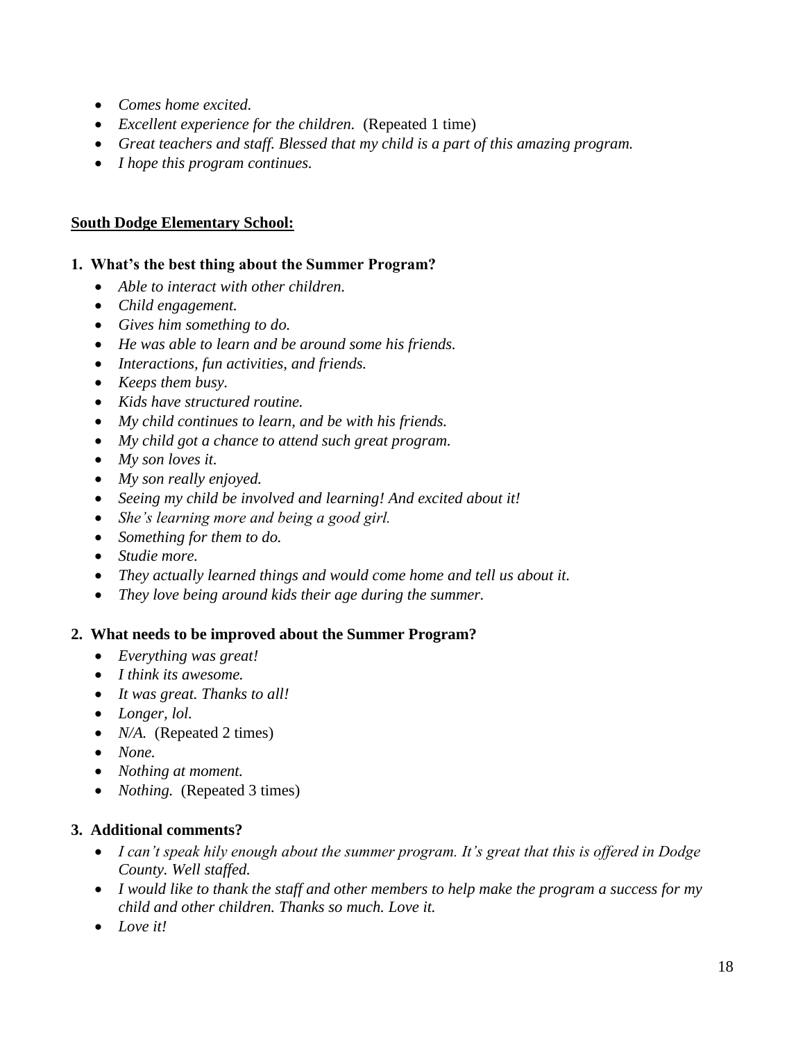- *Comes home excited.*
- *Excellent experience for the children.* (Repeated 1 time)
- *Great teachers and staff. Blessed that my child is a part of this amazing program.*
- *I hope this program continues.*

#### **South Dodge Elementary School:**

#### **1. What's the best thing about the Summer Program?**

- *Able to interact with other children.*
- *Child engagement.*
- *Gives him something to do.*
- *He was able to learn and be around some his friends.*
- *Interactions, fun activities, and friends.*
- *Keeps them busy.*
- *Kids have structured routine.*
- *My child continues to learn, and be with his friends.*
- *My child got a chance to attend such great program.*
- *My son loves it.*
- *My son really enjoyed.*
- *Seeing my child be involved and learning! And excited about it!*
- *She's learning more and being a good girl.*
- *Something for them to do.*
- *Studie more.*
- *They actually learned things and would come home and tell us about it.*
- *They love being around kids their age during the summer.*

#### **2. What needs to be improved about the Summer Program?**

- *Everything was great!*
- *I think its awesome.*
- *It was great. Thanks to all!*
- *Longer, lol.*
- *N/A.* (Repeated 2 times)
- *None.*
- *Nothing at moment.*
- *Nothing.* (Repeated 3 times)

#### **3. Additional comments?**

- *I can't speak hily enough about the summer program. It's great that this is offered in Dodge County. Well staffed.*
- *I would like to thank the staff and other members to help make the program a success for my child and other children. Thanks so much. Love it.*
- *Love it!*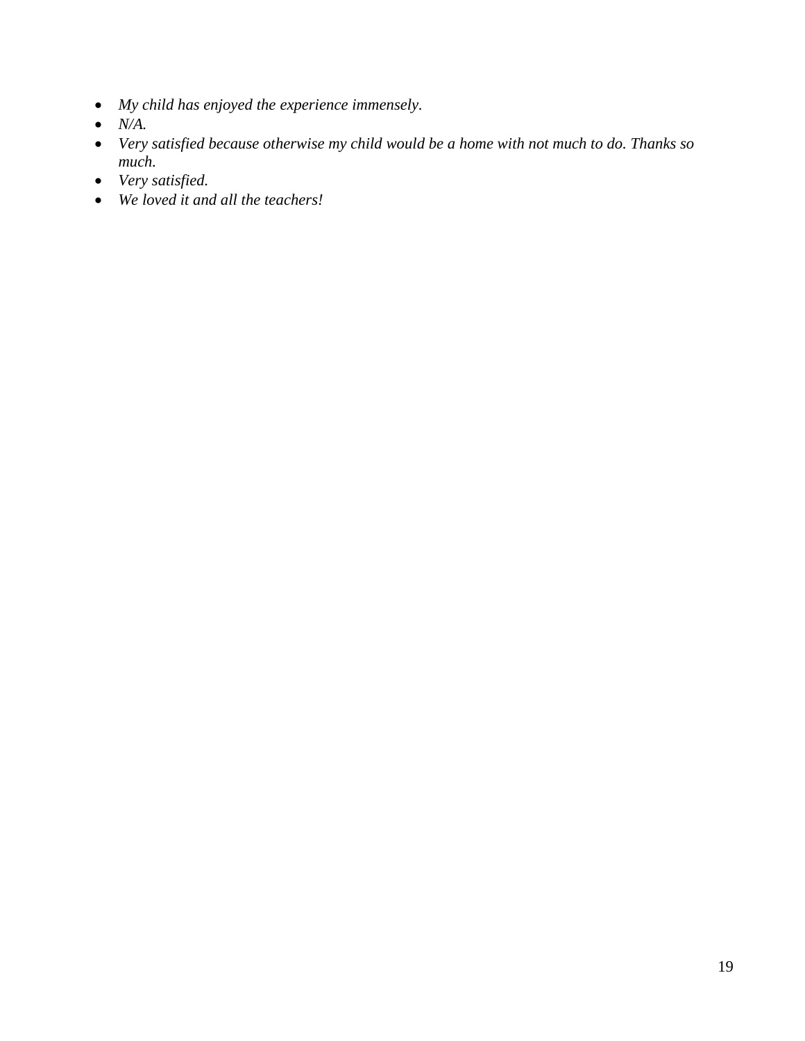- *My child has enjoyed the experience immensely.*
- *N/A.*
- *Very satisfied because otherwise my child would be a home with not much to do. Thanks so much.*
- *Very satisfied.*
- *We loved it and all the teachers!*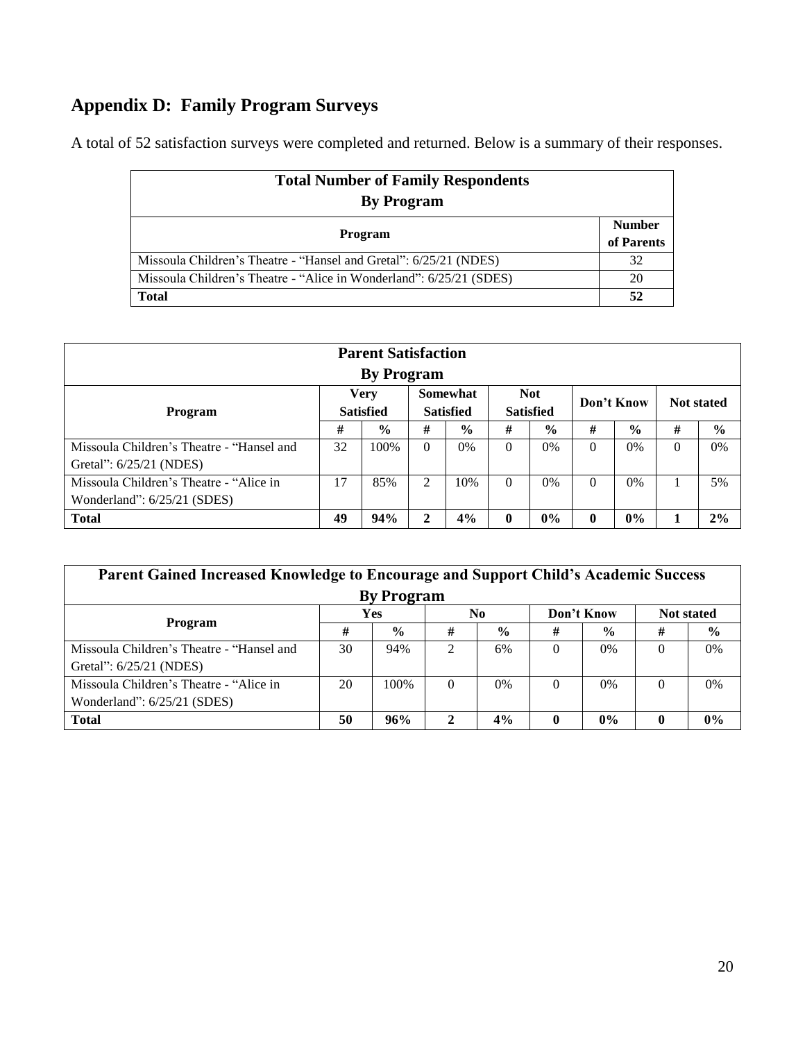# **Appendix D: Family Program Surveys**

A total of 52 satisfaction surveys were completed and returned. Below is a summary of their responses.

| <b>Total Number of Family Respondents</b>                           |                             |  |  |  |  |  |
|---------------------------------------------------------------------|-----------------------------|--|--|--|--|--|
| <b>By Program</b>                                                   |                             |  |  |  |  |  |
| <b>Program</b>                                                      | <b>Number</b><br>of Parents |  |  |  |  |  |
| Missoula Children's Theatre - "Hansel and Gretal": 6/25/21 (NDES)   | 32                          |  |  |  |  |  |
| Missoula Children's Theatre - "Alice in Wonderland": 6/25/21 (SDES) | 20                          |  |  |  |  |  |
| <b>Total</b>                                                        | 52                          |  |  |  |  |  |

| <b>Parent Satisfaction</b>                          |    |                   |          |                  |   |                  |             |               |                   |               |
|-----------------------------------------------------|----|-------------------|----------|------------------|---|------------------|-------------|---------------|-------------------|---------------|
|                                                     |    | <b>By Program</b> |          |                  |   |                  |             |               |                   |               |
| <b>Very</b><br><b>Not</b><br>Somewhat<br>Don't Know |    |                   |          |                  |   |                  |             |               |                   |               |
| Program                                             |    | <b>Satisfied</b>  |          | <b>Satisfied</b> |   | <b>Satisfied</b> |             |               | <b>Not stated</b> |               |
|                                                     |    | $\frac{0}{0}$     | #        | $\frac{0}{0}$    | # | $\frac{6}{6}$    | #           | $\frac{0}{0}$ | #                 | $\frac{0}{0}$ |
| Missoula Children's Theatre - "Hansel and           | 32 | 100\%             | $\theta$ | 0%               | 0 | 0%               | $\Omega$    | $0\%$         | $\Omega$          | 0%            |
| Gretal": 6/25/21 (NDES)                             |    |                   |          |                  |   |                  |             |               |                   |               |
| Missoula Children's Theatre - "Alice in             | 17 | 85%               |          | 10%              | 0 | $0\%$            | $\Omega$    | $0\%$         |                   | 5%            |
| Wonderland": $6/25/21$ (SDES)                       |    |                   |          |                  |   |                  |             |               |                   |               |
| <b>Total</b>                                        | 49 | 94%               | 2        | 4%               |   | $0\%$            | $\mathbf 0$ | 0%            |                   | 2%            |

| Parent Gained Increased Knowledge to Encourage and Support Child's Academic Success |    |               |                             |                |            |               |                   |               |  |
|-------------------------------------------------------------------------------------|----|---------------|-----------------------------|----------------|------------|---------------|-------------------|---------------|--|
| <b>By Program</b>                                                                   |    |               |                             |                |            |               |                   |               |  |
|                                                                                     |    | Yes           |                             | N <sub>0</sub> | Don't Know |               | <b>Not stated</b> |               |  |
| Program                                                                             | #  | $\frac{6}{6}$ | #                           | $\frac{6}{9}$  | #          | $\frac{0}{0}$ | #                 | $\frac{0}{0}$ |  |
| Missoula Children's Theatre - "Hansel and                                           | 30 | 94%           | $\mathcal{D}_{\mathcal{L}}$ | 6%             | 0          | 0%            |                   | 0%            |  |
| Gretal": 6/25/21 (NDES)                                                             |    |               |                             |                |            |               |                   |               |  |
| Missoula Children's Theatre - "Alice in                                             | 20 | 100%          | $\Omega$                    | $0\%$          | $\Omega$   | $0\%$         | $\Omega$          | 0%            |  |
| Wonderland": 6/25/21 (SDES)                                                         |    |               |                             |                |            |               |                   |               |  |
| <b>Total</b>                                                                        | 50 | 96%           | $\mathbf{2}$                | 4%             | 0          | $0\%$         | $\mathbf{0}$      | $0\%$         |  |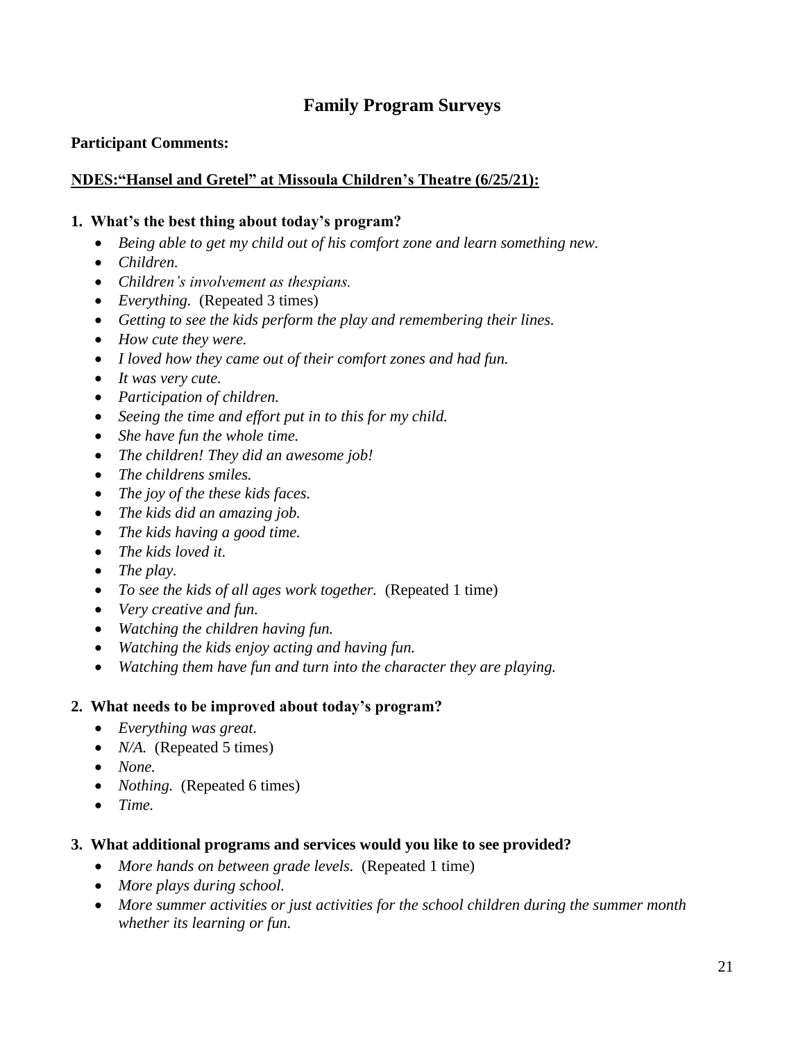# **Family Program Surveys**

#### **Participant Comments:**

#### **NDES:"Hansel and Gretel" at Missoula Children's Theatre (6/25/21):**

#### **1. What's the best thing about today's program?**

- *Being able to get my child out of his comfort zone and learn something new.*
- *Children.*
- *Children's involvement as thespians.*
- *Everything.* (Repeated 3 times)
- *Getting to see the kids perform the play and remembering their lines.*
- *How cute they were.*
- *I loved how they came out of their comfort zones and had fun.*
- *It was very cute.*
- *Participation of children.*
- *Seeing the time and effort put in to this for my child.*
- *She have fun the whole time.*
- *The children! They did an awesome job!*
- *The childrens smiles.*
- *The joy of the these kids faces.*
- *The kids did an amazing job.*
- *The kids having a good time.*
- *The kids loved it.*
- *The play.*
- *To see the kids of all ages work together.* (Repeated 1 time)
- *Very creative and fun.*
- *Watching the children having fun.*
- *Watching the kids enjoy acting and having fun.*
- *Watching them have fun and turn into the character they are playing.*

#### **2. What needs to be improved about today's program?**

- *Everything was great.*
- *N/A.* (Repeated 5 times)
- *None.*
- *Nothing.* (Repeated 6 times)
- *Time.*

#### **3. What additional programs and services would you like to see provided?**

- *More hands on between grade levels.* (Repeated 1 time)
- *More plays during school.*
- *More summer activities or just activities for the school children during the summer month whether its learning or fun.*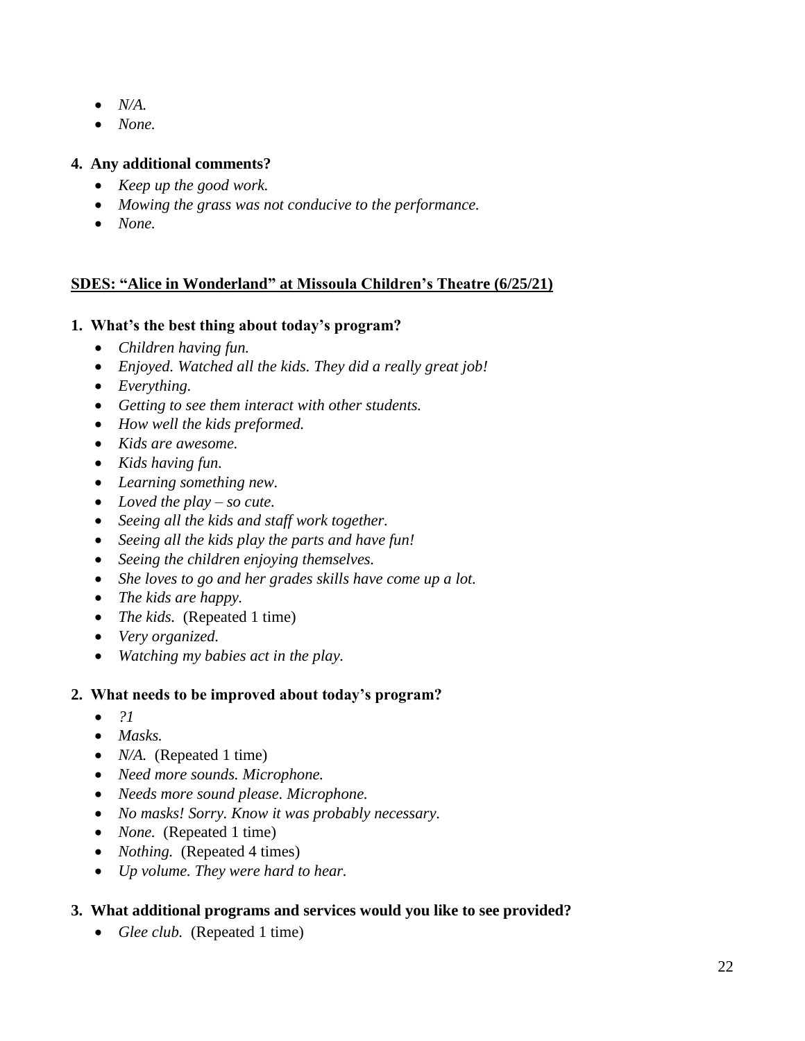- *N/A.*
- *None.*

# **4. Any additional comments?**

- *Keep up the good work.*
- *Mowing the grass was not conducive to the performance.*
- *None.*

## **SDES: "Alice in Wonderland" at Missoula Children's Theatre (6/25/21)**

## **1. What's the best thing about today's program?**

- *Children having fun.*
- *Enjoyed. Watched all the kids. They did a really great job!*
- *Everything.*
- *Getting to see them interact with other students.*
- *How well the kids preformed.*
- *Kids are awesome.*
- *Kids having fun.*
- *Learning something new.*
- *Loved the play – so cute.*
- *Seeing all the kids and staff work together.*
- *Seeing all the kids play the parts and have fun!*
- *Seeing the children enjoying themselves.*
- *She loves to go and her grades skills have come up a lot.*
- *The kids are happy.*
- *The kids.* (Repeated 1 time)
- *Very organized.*
- *Watching my babies act in the play.*

## **2. What needs to be improved about today's program?**

- *?1*
- *Masks.*
- *N/A.* (Repeated 1 time)
- *Need more sounds. Microphone.*
- *Needs more sound please. Microphone.*
- *No masks! Sorry. Know it was probably necessary.*
- *None.* (Repeated 1 time)
- *Nothing.* (Repeated 4 times)
- *Up volume. They were hard to hear.*

# **3. What additional programs and services would you like to see provided?**

• Glee club. (Repeated 1 time)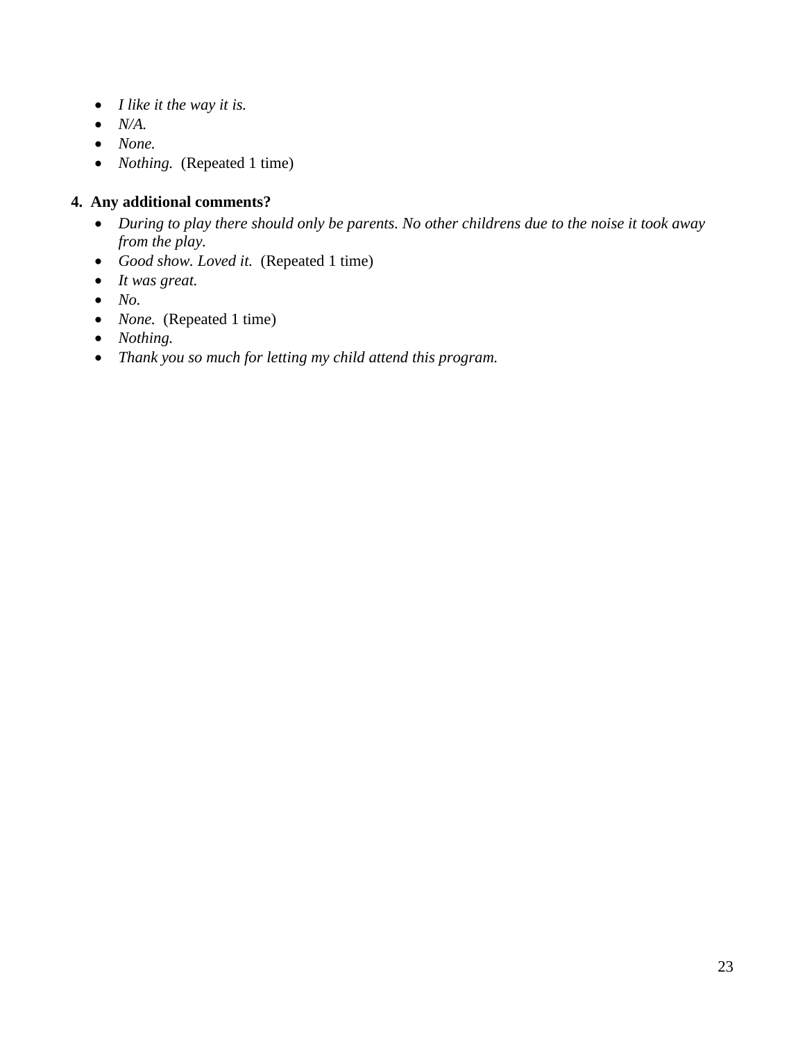- *I like it the way it is.*
- *N/A.*
- *None.*
- *Nothing.* (Repeated 1 time)

#### **4. Any additional comments?**

- *During to play there should only be parents. No other childrens due to the noise it took away from the play.*
- *Good show. Loved it.* (Repeated 1 time)
- *It was great.*
- *No.*
- *None.* (Repeated 1 time)
- *Nothing.*
- *Thank you so much for letting my child attend this program.*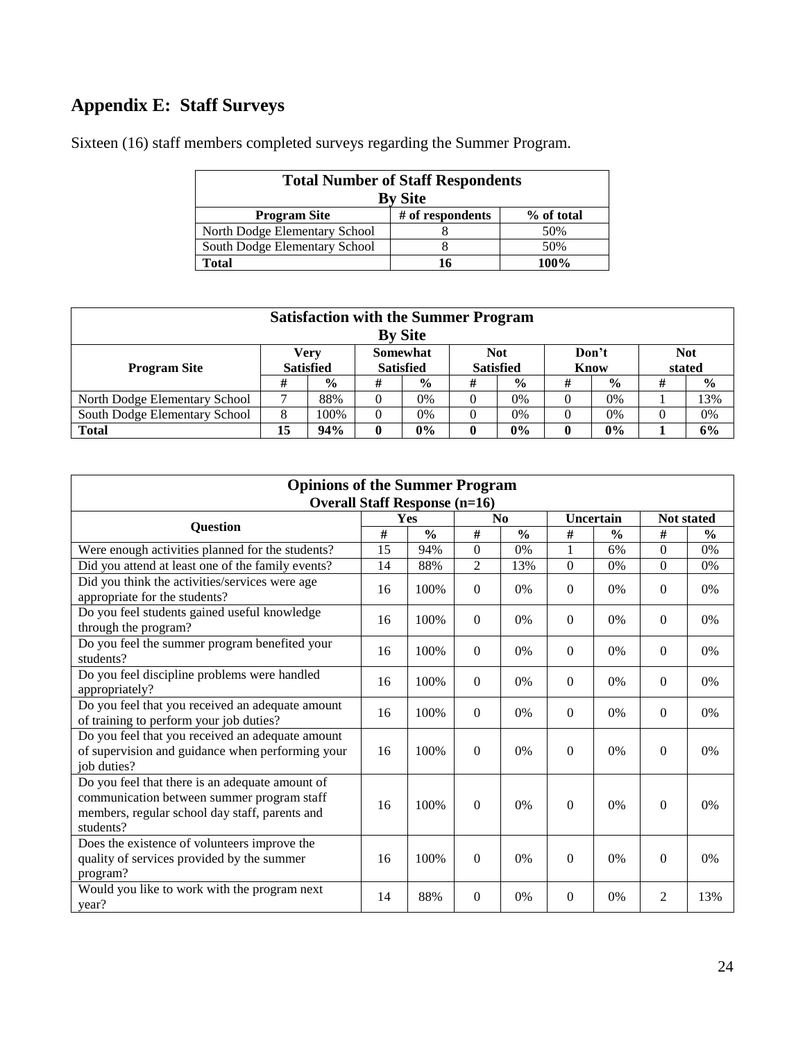# **Appendix E: Staff Surveys**

| <b>Total Number of Staff Respondents</b><br><b>By Site</b> |                  |            |  |  |  |  |  |
|------------------------------------------------------------|------------------|------------|--|--|--|--|--|
| <b>Program Site</b>                                        | # of respondents | % of total |  |  |  |  |  |
| North Dodge Elementary School                              |                  | 50%        |  |  |  |  |  |
| South Dodge Elementary School                              |                  | 50%        |  |  |  |  |  |
| Total                                                      | 16               | 100%       |  |  |  |  |  |

Sixteen (16) staff members completed surveys regarding the Summer Program.

| <b>Satisfaction with the Summer Program</b>    |                  |               |                  |               |                  |               |      |               |        |               |
|------------------------------------------------|------------------|---------------|------------------|---------------|------------------|---------------|------|---------------|--------|---------------|
| <b>By Site</b>                                 |                  |               |                  |               |                  |               |      |               |        |               |
| <b>Somewhat</b><br>Don't<br><b>Not</b><br>Verv |                  |               |                  |               |                  |               |      | <b>Not</b>    |        |               |
| <b>Program Site</b>                            | <b>Satisfied</b> |               | <b>Satisfied</b> |               | <b>Satisfied</b> |               | Know |               | stated |               |
|                                                | #                | $\frac{6}{6}$ | #                | $\frac{6}{9}$ | #                | $\frac{6}{9}$ | #    | $\frac{6}{6}$ | #      | $\frac{6}{9}$ |
| North Dodge Elementary School                  |                  | 88%           | 0                | 0%            |                  | 0%            |      | 0%            |        | 13%           |
| South Dodge Elementary School                  | 8                | 100%          | $\theta$         | 0%            |                  | 0%            |      | $0\%$         |        | 0%            |
| <b>Total</b>                                   | 15               | 94%           | 0                | $0\%$         |                  | 0%            | 0    | $0\%$         |        | 6%            |

| <b>Opinions of the Summer Program</b>                                                                                                                        |    |               |                |               |              |               |                   |               |
|--------------------------------------------------------------------------------------------------------------------------------------------------------------|----|---------------|----------------|---------------|--------------|---------------|-------------------|---------------|
| <b>Overall Staff Response (n=16)</b>                                                                                                                         |    |               |                |               |              |               |                   |               |
| <b>Question</b>                                                                                                                                              |    | Yes           | N <sub>0</sub> |               | Uncertain    |               | <b>Not stated</b> |               |
|                                                                                                                                                              | #  | $\frac{0}{0}$ | #              | $\frac{0}{0}$ | #            | $\frac{6}{6}$ | #                 | $\frac{0}{0}$ |
| Were enough activities planned for the students?                                                                                                             | 15 | 94%           | $\Omega$       | 0%            | 1            | 6%            | $\Omega$          | 0%            |
| Did you attend at least one of the family events?                                                                                                            | 14 | 88%           | $\overline{2}$ | 13%           | $\Omega$     | 0%            | $\Omega$          | 0%            |
| Did you think the activities/services were age<br>appropriate for the students?                                                                              | 16 | 100%          | $\Omega$       | 0%            | $\Omega$     | 0%            | $\Omega$          | 0%            |
| Do you feel students gained useful knowledge<br>through the program?                                                                                         | 16 | 100%          | $\theta$       | 0%            | $\Omega$     | $0\%$         | $\Omega$          | 0%            |
| Do you feel the summer program benefited your<br>students?                                                                                                   | 16 | 100%          | $\Omega$       | 0%            | $\Omega$     | 0%            | $\Omega$          | 0%            |
| Do you feel discipline problems were handled<br>appropriately?                                                                                               | 16 | 100%          | $\theta$       | 0%            | $\Omega$     | 0%            | $\Omega$          | 0%            |
| Do you feel that you received an adequate amount<br>of training to perform your job duties?                                                                  | 16 | 100%          | $\theta$       | 0%            | $\Omega$     | 0%            | $\Omega$          | 0%            |
| Do you feel that you received an adequate amount<br>of supervision and guidance when performing your<br>iob duties?                                          | 16 | 100%          | $\theta$       | 0%            | $\mathbf{0}$ | 0%            | $\Omega$          | 0%            |
| Do you feel that there is an adequate amount of<br>communication between summer program staff<br>members, regular school day staff, parents and<br>students? | 16 | 100%          | $\Omega$       | 0%            | $\Omega$     | 0%            | $\Omega$          | 0%            |
| Does the existence of volunteers improve the<br>quality of services provided by the summer<br>program?                                                       | 16 | 100%          | $\theta$       | 0%            | $\Omega$     | 0%            | $\Omega$          | 0%            |
| Would you like to work with the program next<br>year?                                                                                                        | 14 | 88%           | $\Omega$       | 0%            | $\Omega$     | 0%            | $\overline{2}$    | 13%           |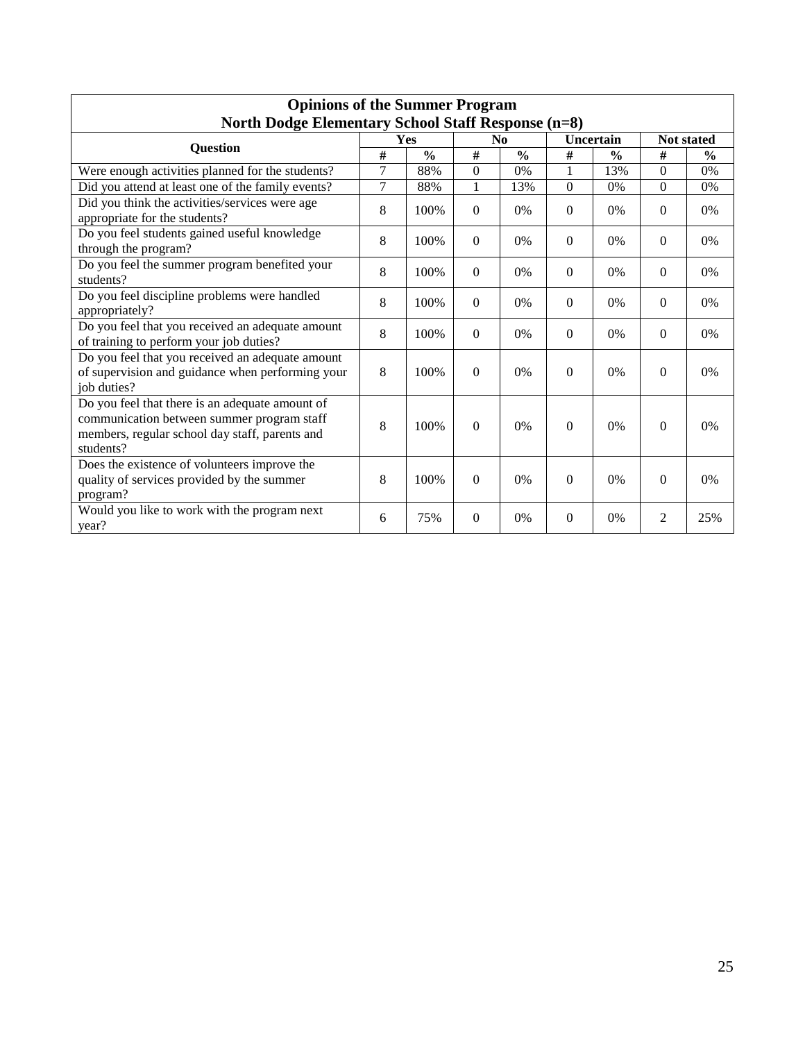| <b>Opinions of the Summer Program</b>                                                                                                                        |   |               |                  |                |              |               |                   |               |
|--------------------------------------------------------------------------------------------------------------------------------------------------------------|---|---------------|------------------|----------------|--------------|---------------|-------------------|---------------|
| <b>North Dodge Elementary School Staff Response (n=8)</b>                                                                                                    |   |               |                  |                |              |               |                   |               |
| <b>Question</b>                                                                                                                                              |   | Yes           |                  | N <sub>0</sub> |              | Uncertain     | <b>Not stated</b> |               |
|                                                                                                                                                              | # | $\frac{0}{0}$ | #                | $\frac{0}{0}$  | #            | $\frac{0}{0}$ | #                 | $\frac{0}{0}$ |
| Were enough activities planned for the students?                                                                                                             | 7 | 88%           | $\boldsymbol{0}$ | 0%             | 1            | 13%           | $\Omega$          | $0\%$         |
| Did you attend at least one of the family events?                                                                                                            | 7 | 88%           | 1                | 13%            | $\Omega$     | 0%            | $\Omega$          | 0%            |
| Did you think the activities/services were age<br>appropriate for the students?                                                                              | 8 | 100%          | $\Omega$         | $0\%$          | $\Omega$     | 0%            | $\Omega$          | $0\%$         |
| Do you feel students gained useful knowledge<br>through the program?                                                                                         | 8 | 100%          | $\Omega$         | 0%             | $\Omega$     | 0%            | $\Omega$          | 0%            |
| Do you feel the summer program benefited your<br>students?                                                                                                   | 8 | 100%          | $\Omega$         | 0%             | $\Omega$     | 0%            | $\Omega$          | 0%            |
| Do you feel discipline problems were handled<br>appropriately?                                                                                               | 8 | 100%          | $\Omega$         | 0%             | $\Omega$     | 0%            | $\Omega$          | 0%            |
| Do you feel that you received an adequate amount<br>of training to perform your job duties?                                                                  | 8 | 100%          | $\theta$         | 0%             | $\Omega$     | 0%            | $\Omega$          | 0%            |
| Do you feel that you received an adequate amount<br>of supervision and guidance when performing your<br>job duties?                                          | 8 | 100%          | $\Omega$         | 0%             | $\theta$     | 0%            | $\Omega$          | 0%            |
| Do you feel that there is an adequate amount of<br>communication between summer program staff<br>members, regular school day staff, parents and<br>students? | 8 | 100%          | $\theta$         | 0%             | $\Omega$     | 0%            | $\Omega$          | 0%            |
| Does the existence of volunteers improve the<br>quality of services provided by the summer<br>program?                                                       | 8 | 100%          | $\Omega$         | 0%             | $\Omega$     | 0%            | $\Omega$          | 0%            |
| Would you like to work with the program next<br>year?                                                                                                        | 6 | 75%           | $\mathbf{0}$     | 0%             | $\mathbf{0}$ | 0%            | 2                 | 25%           |

# **Opinions of the Summer Program**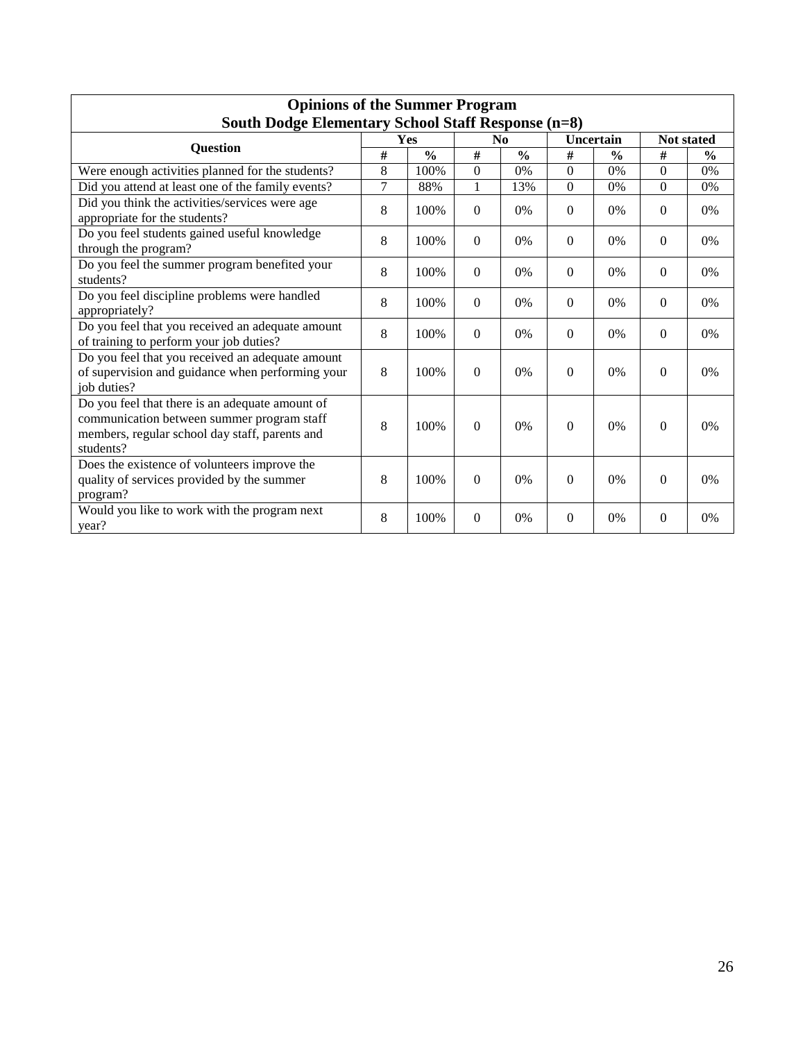| <b>Opinions of the Summer Program</b>                                                                                                                        |                |               |                |               |                  |               |            |               |
|--------------------------------------------------------------------------------------------------------------------------------------------------------------|----------------|---------------|----------------|---------------|------------------|---------------|------------|---------------|
| South Dodge Elementary School Staff Response (n=8)                                                                                                           |                |               |                |               |                  |               |            |               |
|                                                                                                                                                              |                | Yes           | N <sub>0</sub> |               |                  | Uncertain     | Not stated |               |
| <b>Question</b>                                                                                                                                              | #              | $\frac{0}{0}$ | #              | $\frac{0}{0}$ | #                | $\frac{0}{0}$ | #          | $\frac{0}{0}$ |
| Were enough activities planned for the students?                                                                                                             | 8              | 100%          | $\Omega$       | $0\%$         | $\Omega$         | 0%            | $\Omega$   | 0%            |
| Did you attend at least one of the family events?                                                                                                            | $\overline{7}$ | 88%           | 1              | 13%           | $\Omega$         | 0%            | $\Omega$   | 0%            |
| Did you think the activities/services were age<br>appropriate for the students?                                                                              | 8              | 100%          | $\Omega$       | 0%            | $\Omega$         | $0\%$         | $\Omega$   | 0%            |
| Do you feel students gained useful knowledge<br>through the program?                                                                                         | 8              | 100%          | $\Omega$       | 0%            | $\mathbf{0}$     | 0%            | $\Omega$   | 0%            |
| Do you feel the summer program benefited your<br>students?                                                                                                   | 8              | 100%          | $\Omega$       | 0%            | $\boldsymbol{0}$ | 0%            | $\Omega$   | 0%            |
| Do you feel discipline problems were handled<br>appropriately?                                                                                               | 8              | 100%          | $\theta$       | 0%            | $\Omega$         | 0%            | $\Omega$   | 0%            |
| Do you feel that you received an adequate amount<br>of training to perform your job duties?                                                                  | 8              | 100%          | $\Omega$       | 0%            | $\Omega$         | 0%            | $\Omega$   | 0%            |
| Do you feel that you received an adequate amount<br>of supervision and guidance when performing your<br>job duties?                                          | 8              | 100%          | $\Omega$       | 0%            | $\theta$         | 0%            | $\Omega$   | 0%            |
| Do you feel that there is an adequate amount of<br>communication between summer program staff<br>members, regular school day staff, parents and<br>students? | 8              | 100%          | $\Omega$       | 0%            | $\Omega$         | 0%            | $\theta$   | 0%            |
| Does the existence of volunteers improve the<br>quality of services provided by the summer<br>program?                                                       | 8              | 100%          | $\Omega$       | 0%            | $\theta$         | 0%            | $\Omega$   | 0%            |
| Would you like to work with the program next<br>year?                                                                                                        | 8              | 100%          | $\Omega$       | 0%            | $\mathbf{0}$     | 0%            | $\theta$   | 0%            |

# **Opinions of the Summer Program**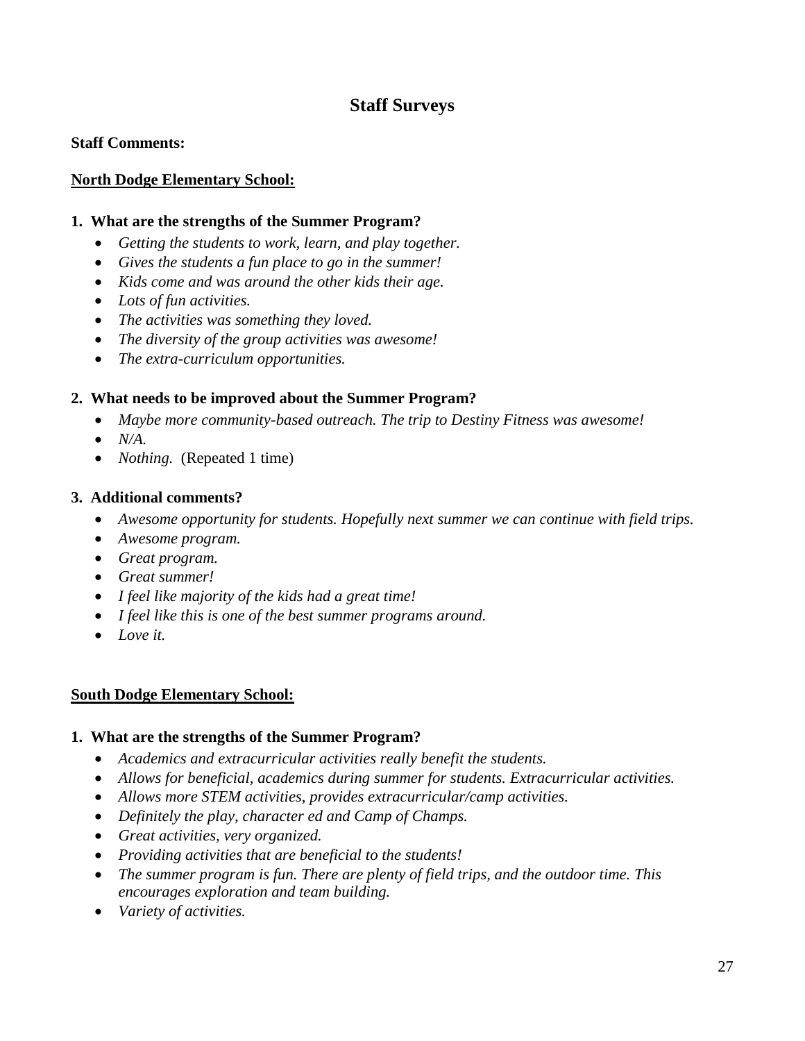# **Staff Surveys**

#### **Staff Comments:**

#### **North Dodge Elementary School:**

#### **1. What are the strengths of the Summer Program?**

- *Getting the students to work, learn, and play together.*
- *Gives the students a fun place to go in the summer!*
- *Kids come and was around the other kids their age.*
- *Lots of fun activities.*
- *The activities was something they loved.*
- *The diversity of the group activities was awesome!*
- *The extra-curriculum opportunities.*

#### **2. What needs to be improved about the Summer Program?**

- *Maybe more community-based outreach. The trip to Destiny Fitness was awesome!*
- *N/A.*
- *Nothing.* (Repeated 1 time)

#### **3. Additional comments?**

- *Awesome opportunity for students. Hopefully next summer we can continue with field trips.*
- *Awesome program.*
- *Great program.*
- *Great summer!*
- *I feel like majority of the kids had a great time!*
- *I feel like this is one of the best summer programs around.*
- *Love it.*

#### **South Dodge Elementary School:**

#### **1. What are the strengths of the Summer Program?**

- *Academics and extracurricular activities really benefit the students.*
- *Allows for beneficial, academics during summer for students. Extracurricular activities.*
- *Allows more STEM activities, provides extracurricular/camp activities.*
- *Definitely the play, character ed and Camp of Champs.*
- *Great activities, very organized.*
- *Providing activities that are beneficial to the students!*
- *The summer program is fun. There are plenty of field trips, and the outdoor time. This encourages exploration and team building.*
- *Variety of activities.*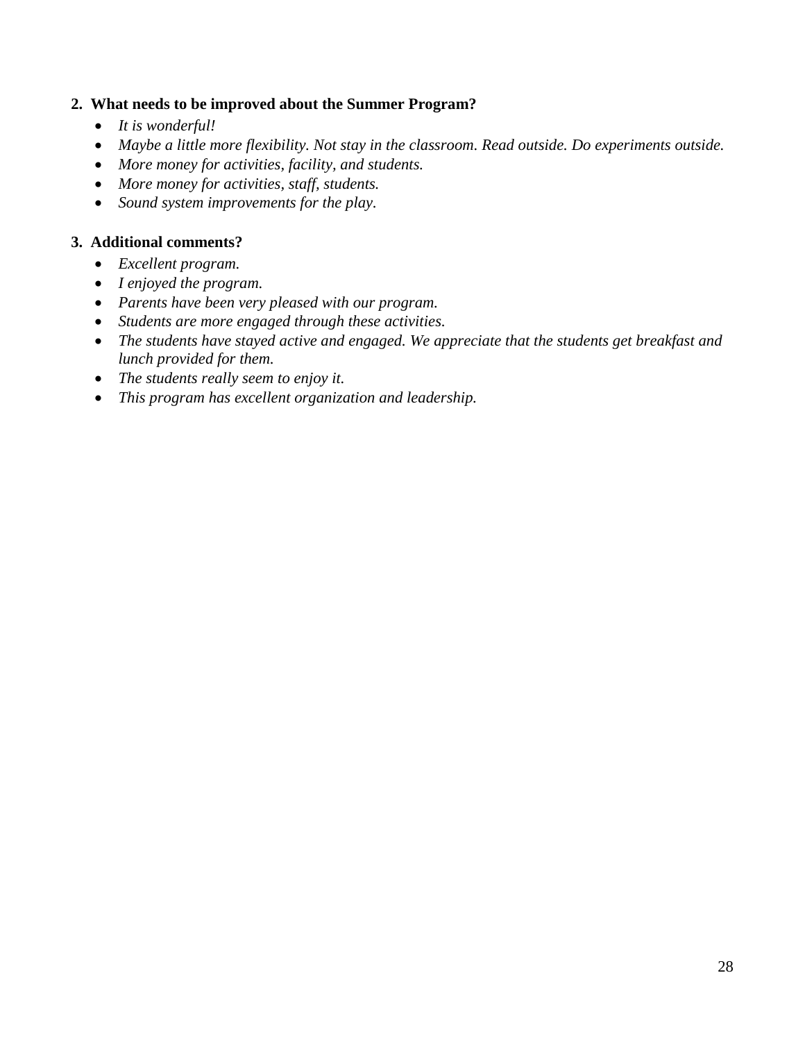#### **2. What needs to be improved about the Summer Program?**

- *It is wonderful!*
- *Maybe a little more flexibility. Not stay in the classroom. Read outside. Do experiments outside.*
- *More money for activities, facility, and students.*
- *More money for activities, staff, students.*
- *Sound system improvements for the play.*

#### **3. Additional comments?**

- *Excellent program.*
- *I enjoyed the program.*
- *Parents have been very pleased with our program.*
- *Students are more engaged through these activities.*
- *The students have stayed active and engaged. We appreciate that the students get breakfast and lunch provided for them.*
- *The students really seem to enjoy it.*
- *This program has excellent organization and leadership.*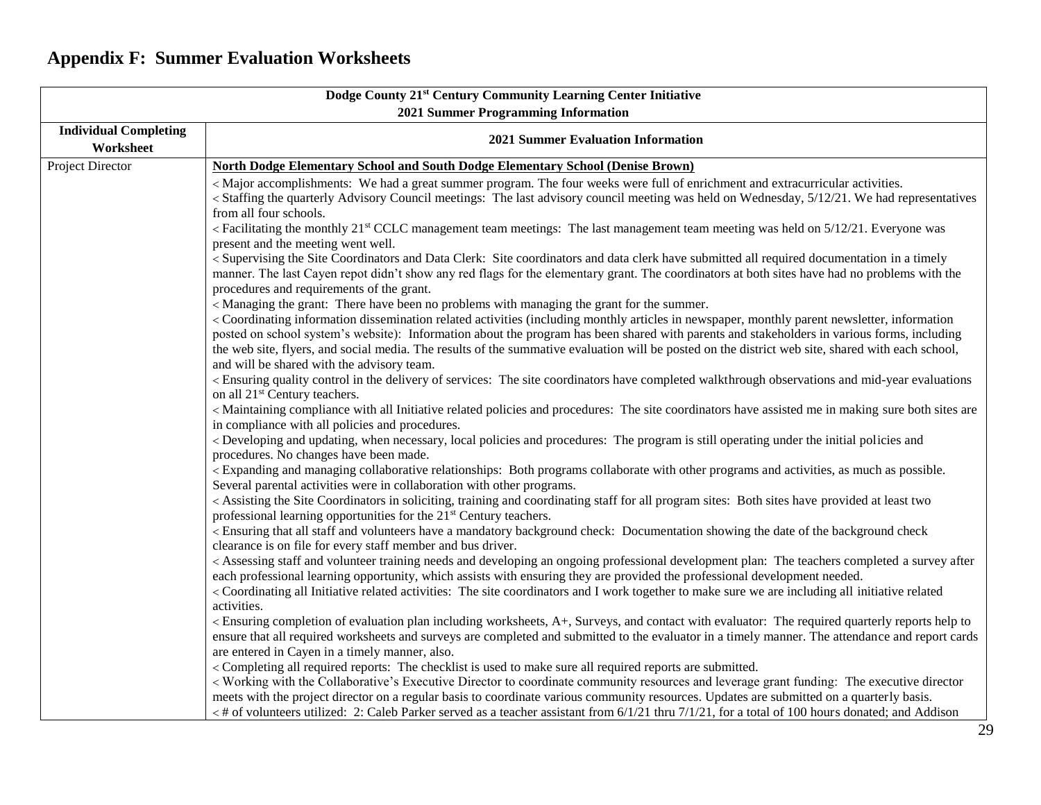# **Appendix F: Summer Evaluation Worksheets**

|                                           | Dodge County 21st Century Community Learning Center Initiative                                                                                                                                                                                                                                                                                                                                                                                                                                                                                                                              |
|-------------------------------------------|---------------------------------------------------------------------------------------------------------------------------------------------------------------------------------------------------------------------------------------------------------------------------------------------------------------------------------------------------------------------------------------------------------------------------------------------------------------------------------------------------------------------------------------------------------------------------------------------|
|                                           | 2021 Summer Programming Information                                                                                                                                                                                                                                                                                                                                                                                                                                                                                                                                                         |
| <b>Individual Completing</b><br>Worksheet | <b>2021 Summer Evaluation Information</b>                                                                                                                                                                                                                                                                                                                                                                                                                                                                                                                                                   |
| <b>Project Director</b>                   | <b>North Dodge Elementary School and South Dodge Elementary School (Denise Brown)</b>                                                                                                                                                                                                                                                                                                                                                                                                                                                                                                       |
|                                           | < Major accomplishments: We had a great summer program. The four weeks were full of enrichment and extracurricular activities.<br>< Staffing the quarterly Advisory Council meetings: The last advisory council meeting was held on Wednesday, 5/12/21. We had representatives<br>from all four schools.                                                                                                                                                                                                                                                                                    |
|                                           | <facilitating 21<sup="" monthly="" the="">st CCLC management team meetings: The last management team meeting was held on 5/12/21. Everyone was<br/>present and the meeting went well.</facilitating>                                                                                                                                                                                                                                                                                                                                                                                        |
|                                           | < Supervising the Site Coordinators and Data Clerk: Site coordinators and data clerk have submitted all required documentation in a timely<br>manner. The last Cayen repot didn't show any red flags for the elementary grant. The coordinators at both sites have had no problems with the<br>procedures and requirements of the grant.                                                                                                                                                                                                                                                    |
|                                           | < Managing the grant: There have been no problems with managing the grant for the summer.<br>< Coordinating information dissemination related activities (including monthly articles in newspaper, monthly parent newsletter, information<br>posted on school system's website): Information about the program has been shared with parents and stakeholders in various forms, including<br>the web site, flyers, and social media. The results of the summative evaluation will be posted on the district web site, shared with each school,<br>and will be shared with the advisory team. |
|                                           | < Ensuring quality control in the delivery of services: The site coordinators have completed walkthrough observations and mid-year evaluations<br>on all 21 <sup>st</sup> Century teachers.                                                                                                                                                                                                                                                                                                                                                                                                 |
|                                           | < Maintaining compliance with all Initiative related policies and procedures: The site coordinators have assisted me in making sure both sites are<br>in compliance with all policies and procedures.                                                                                                                                                                                                                                                                                                                                                                                       |
|                                           | < Developing and updating, when necessary, local policies and procedures: The program is still operating under the initial policies and<br>procedures. No changes have been made.                                                                                                                                                                                                                                                                                                                                                                                                           |
|                                           | <expanding activities,="" and="" as="" both="" collaborate="" collaborative="" managing="" much="" other="" possible.<br="" programs="" relationships:="" with="">Several parental activities were in collaboration with other programs.</expanding>                                                                                                                                                                                                                                                                                                                                        |
|                                           | < Assisting the Site Coordinators in soliciting, training and coordinating staff for all program sites: Both sites have provided at least two<br>professional learning opportunities for the 21 <sup>st</sup> Century teachers.                                                                                                                                                                                                                                                                                                                                                             |
|                                           | <ensuring a="" all="" and="" background="" check:="" check<br="" date="" documentation="" have="" mandatory="" of="" showing="" staff="" that="" the="" volunteers="">clearance is on file for every staff member and bus driver.</ensuring>                                                                                                                                                                                                                                                                                                                                                |
|                                           | < Assessing staff and volunteer training needs and developing an ongoing professional development plan: The teachers completed a survey after<br>each professional learning opportunity, which assists with ensuring they are provided the professional development needed.<br>< Coordinating all Initiative related activities: The site coordinators and I work together to make sure we are including all initiative related                                                                                                                                                             |
|                                           | activities.<br>< Ensuring completion of evaluation plan including worksheets, A+, Surveys, and contact with evaluator: The required quarterly reports help to<br>ensure that all required worksheets and surveys are completed and submitted to the evaluator in a timely manner. The attendance and report cards<br>are entered in Cayen in a timely manner, also.                                                                                                                                                                                                                         |
|                                           | < Completing all required reports: The checklist is used to make sure all required reports are submitted.<br>< Working with the Collaborative's Executive Director to coordinate community resources and leverage grant funding: The executive director<br>meets with the project director on a regular basis to coordinate various community resources. Updates are submitted on a quarterly basis.<br>$\lt$ # of volunteers utilized: 2: Caleb Parker served as a teacher assistant from 6/1/21 thru 7/1/21, for a total of 100 hours donated; and Addison                                |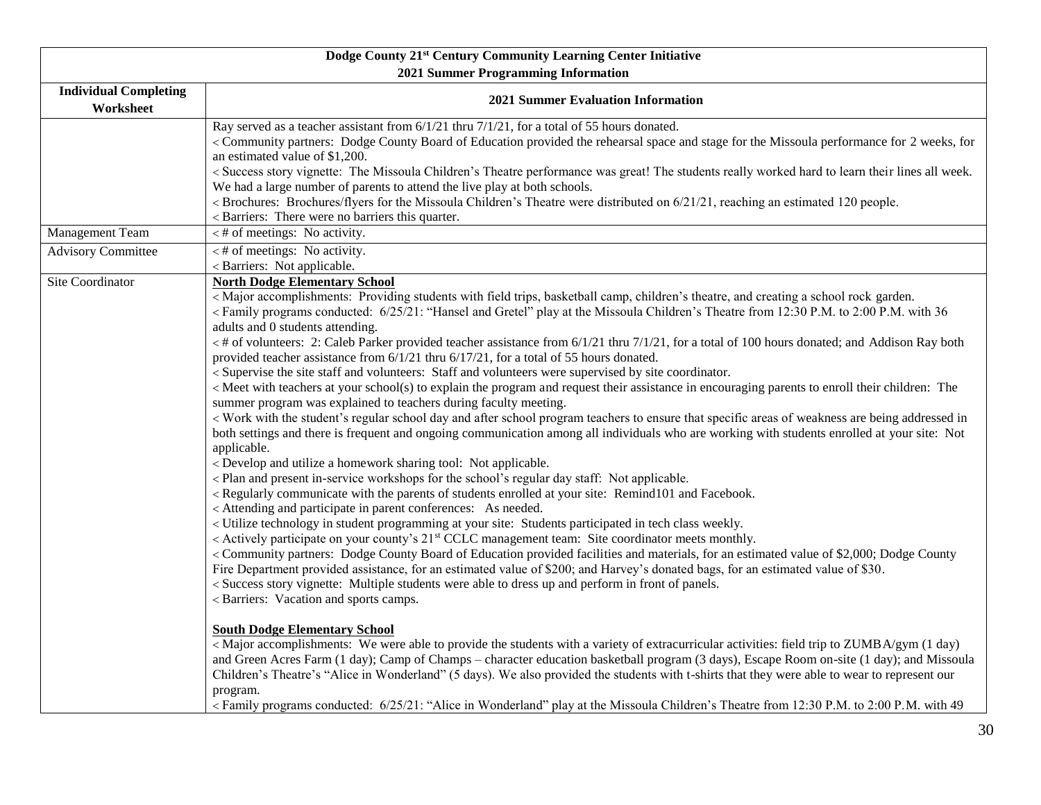|                                           | Dodge County 21st Century Community Learning Center Initiative                                                                                                                                                                                                                                                                                                                                                                                                                                                                                                                                                                                                                                                                                                                                                                                                                                                                                                                                                                                                                                                                                                                                                                                                                                                                                                                                                                                                                                                                                                                                                                                                                                                                                                                                                                                                                                                                                                                                                                                                                                                                                                                                                                                                                                                                                                                                                                                                                                                                                                                                                                                                                                                                                                                                                                                                                                                                                                                                                                                                                                                                                                                                                                                                                                                                                        |
|-------------------------------------------|-------------------------------------------------------------------------------------------------------------------------------------------------------------------------------------------------------------------------------------------------------------------------------------------------------------------------------------------------------------------------------------------------------------------------------------------------------------------------------------------------------------------------------------------------------------------------------------------------------------------------------------------------------------------------------------------------------------------------------------------------------------------------------------------------------------------------------------------------------------------------------------------------------------------------------------------------------------------------------------------------------------------------------------------------------------------------------------------------------------------------------------------------------------------------------------------------------------------------------------------------------------------------------------------------------------------------------------------------------------------------------------------------------------------------------------------------------------------------------------------------------------------------------------------------------------------------------------------------------------------------------------------------------------------------------------------------------------------------------------------------------------------------------------------------------------------------------------------------------------------------------------------------------------------------------------------------------------------------------------------------------------------------------------------------------------------------------------------------------------------------------------------------------------------------------------------------------------------------------------------------------------------------------------------------------------------------------------------------------------------------------------------------------------------------------------------------------------------------------------------------------------------------------------------------------------------------------------------------------------------------------------------------------------------------------------------------------------------------------------------------------------------------------------------------------------------------------------------------------------------------------------------------------------------------------------------------------------------------------------------------------------------------------------------------------------------------------------------------------------------------------------------------------------------------------------------------------------------------------------------------------------------------------------------------------------------------------------------------------|
|                                           | 2021 Summer Programming Information                                                                                                                                                                                                                                                                                                                                                                                                                                                                                                                                                                                                                                                                                                                                                                                                                                                                                                                                                                                                                                                                                                                                                                                                                                                                                                                                                                                                                                                                                                                                                                                                                                                                                                                                                                                                                                                                                                                                                                                                                                                                                                                                                                                                                                                                                                                                                                                                                                                                                                                                                                                                                                                                                                                                                                                                                                                                                                                                                                                                                                                                                                                                                                                                                                                                                                                   |
| <b>Individual Completing</b><br>Worksheet | <b>2021 Summer Evaluation Information</b>                                                                                                                                                                                                                                                                                                                                                                                                                                                                                                                                                                                                                                                                                                                                                                                                                                                                                                                                                                                                                                                                                                                                                                                                                                                                                                                                                                                                                                                                                                                                                                                                                                                                                                                                                                                                                                                                                                                                                                                                                                                                                                                                                                                                                                                                                                                                                                                                                                                                                                                                                                                                                                                                                                                                                                                                                                                                                                                                                                                                                                                                                                                                                                                                                                                                                                             |
|                                           | Ray served as a teacher assistant from 6/1/21 thru 7/1/21, for a total of 55 hours donated.<br>< Community partners: Dodge County Board of Education provided the rehearsal space and stage for the Missoula performance for 2 weeks, for<br>an estimated value of \$1,200.<br>< Success story vignette: The Missoula Children's Theatre performance was great! The students really worked hard to learn their lines all week.<br>We had a large number of parents to attend the live play at both schools.<br>< Brochures: Brochures/flyers for the Missoula Children's Theatre were distributed on 6/21/21, reaching an estimated 120 people.<br>< Barriers: There were no barriers this quarter.                                                                                                                                                                                                                                                                                                                                                                                                                                                                                                                                                                                                                                                                                                                                                                                                                                                                                                                                                                                                                                                                                                                                                                                                                                                                                                                                                                                                                                                                                                                                                                                                                                                                                                                                                                                                                                                                                                                                                                                                                                                                                                                                                                                                                                                                                                                                                                                                                                                                                                                                                                                                                                                   |
| Management Team                           | $\lt$ # of meetings: No activity.                                                                                                                                                                                                                                                                                                                                                                                                                                                                                                                                                                                                                                                                                                                                                                                                                                                                                                                                                                                                                                                                                                                                                                                                                                                                                                                                                                                                                                                                                                                                                                                                                                                                                                                                                                                                                                                                                                                                                                                                                                                                                                                                                                                                                                                                                                                                                                                                                                                                                                                                                                                                                                                                                                                                                                                                                                                                                                                                                                                                                                                                                                                                                                                                                                                                                                                     |
| <b>Advisory Committee</b>                 | $\lt$ # of meetings: No activity.<br>< Barriers: Not applicable.                                                                                                                                                                                                                                                                                                                                                                                                                                                                                                                                                                                                                                                                                                                                                                                                                                                                                                                                                                                                                                                                                                                                                                                                                                                                                                                                                                                                                                                                                                                                                                                                                                                                                                                                                                                                                                                                                                                                                                                                                                                                                                                                                                                                                                                                                                                                                                                                                                                                                                                                                                                                                                                                                                                                                                                                                                                                                                                                                                                                                                                                                                                                                                                                                                                                                      |
| Site Coordinator                          | <b>North Dodge Elementary School</b><br><major a="" accomplishments:="" and="" basketball="" camp,="" children's="" creating="" field="" garden.<br="" providing="" rock="" school="" students="" theatre,="" trips,="" with=""><family "hansel="" 12:30="" 21:="" 25="" 2:00="" 36<br="" 6="" and="" at="" children's="" conducted:="" from="" gretel"="" missoula="" p.m.="" play="" programs="" the="" theatre="" to="" with="">adults and 0 students attending.<br/>&lt;# of volunteers: 2: Caleb Parker provided teacher assistance from <math>6/1/21</math> thru <math>7/1/21</math>, for a total of 100 hours donated; and Addison Ray both<br/>provided teacher assistance from 6/1/21 thru 6/17/21, for a total of 55 hours donated.<br/>&lt; Supervise the site staff and volunteers: Staff and volunteers were supervised by site coordinator.<br/>&lt; Meet with teachers at your school(s) to explain the program and request their assistance in encouraging parents to enroll their children: The<br/>summer program was explained to teachers during faculty meeting.<br/>&lt; Work with the student's regular school day and after school program teachers to ensure that specific areas of weakness are being addressed in<br/>both settings and there is frequent and ongoing communication among all individuals who are working with students enrolled at your site: Not<br/>applicable.<br/>&lt; Develop and utilize a homework sharing tool: Not applicable.<br/><plan and="" applicable.<br="" day="" for="" in-service="" not="" present="" regular="" school's="" staff:="" the="" workshops=""><regularly and="" at="" communicate="" enrolled="" facebook.<br="" of="" parents="" remind101="" site:="" students="" the="" with="" your="">&lt; Attending and participate in parent conferences: As needed.<br/>&lt; Utilize technology in student programming at your site: Students participated in tech class weekly.<br/>&lt; Actively participate on your county's 21<sup>st</sup> CCLC management team: Site coordinator meets monthly.<br/>&lt; Community partners: Dodge County Board of Education provided facilities and materials, for an estimated value of \$2,000; Dodge County<br/>Fire Department provided assistance, for an estimated value of \$200; and Harvey's donated bags, for an estimated value of \$30.<br/>&lt; Success story vignette: Multiple students were able to dress up and perform in front of panels.<br/>&lt; Barriers: Vacation and sports camps.<br/><b>South Dodge Elementary School</b><br/><major (1="" a="" able="" accomplishments:="" activities:="" day)<br="" extracurricular="" field="" gym="" of="" provide="" students="" the="" to="" trip="" variety="" we="" were="" with="" zumba="">and Green Acres Farm (1 day); Camp of Champs - character education basketball program (3 days), Escape Room on-site (1 day); and Missoula<br/>Children's Theatre's "Alice in Wonderland" (5 days). We also provided the students with t-shirts that they were able to wear to represent our<br/>program.<br/><family "alice="" 12:30="" 21:="" 25="" 2:00="" 49<="" 6="" at="" children's="" conducted:="" from="" in="" missoula="" p.m.="" play="" programs="" td="" the="" theatre="" to="" with="" wonderland"=""></family></major></regularly></plan></family></major> |